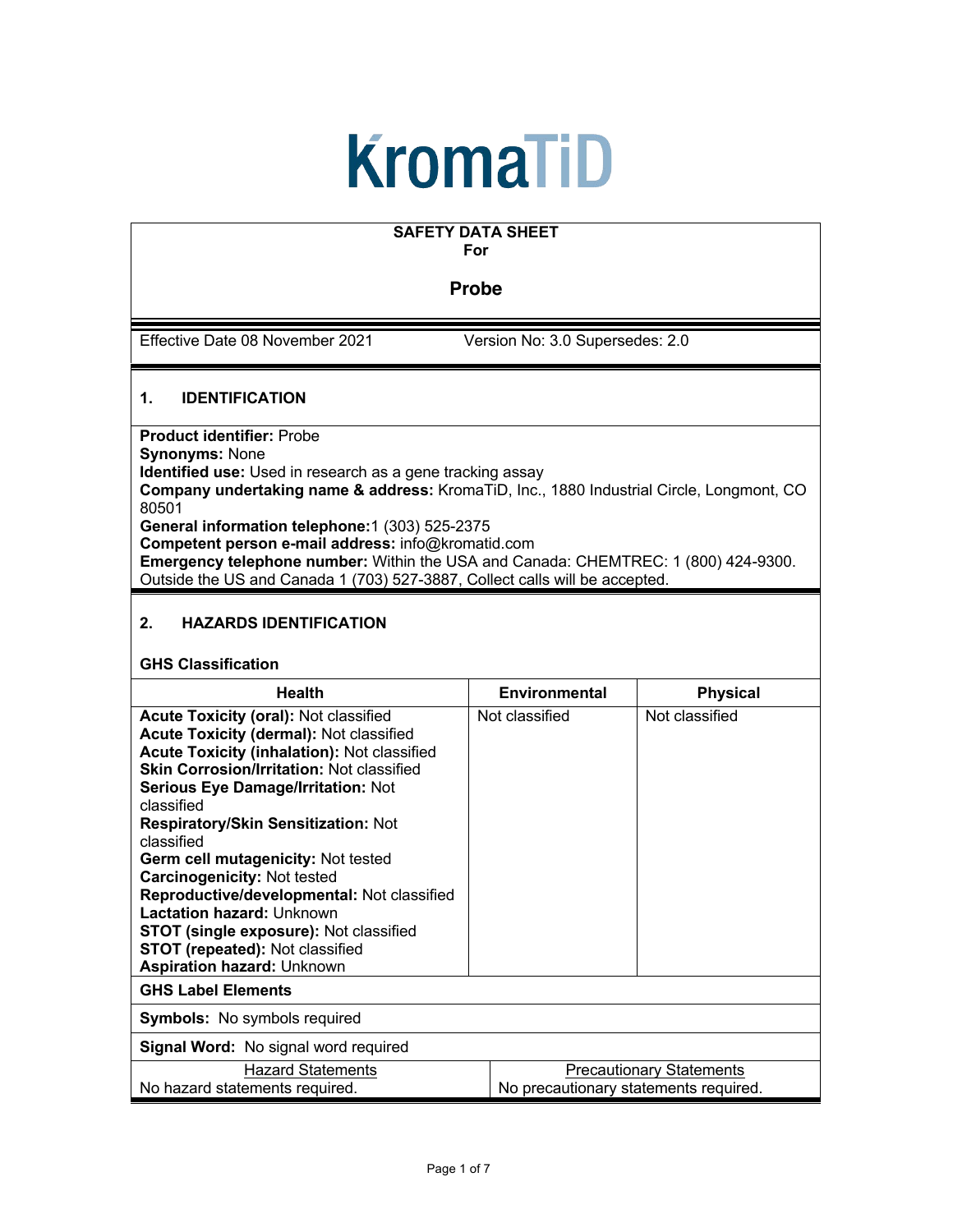# **KromaTiD**

## **SAFETY DATA SHEET**

**For** 

#### **Probe**

Effective Date 08 November 2021 Version No: 3.0 Supersedes: 2.0

#### **1. IDENTIFICATION**

**Product identifier:** Probe **Synonyms:** None **Identified use:** Used in research as a gene tracking assay **Company undertaking name & address:** KromaTiD, Inc., 1880 Industrial Circle, Longmont, CO 80501 **General information telephone:**1 (303) 525-2375

**Competent person e-mail address:** info@kromatid.com

**Emergency telephone number:** Within the USA and Canada: CHEMTREC: 1 (800) 424-9300. Outside the US and Canada 1 (703) 527-3887, Collect calls will be accepted.

#### **2. HAZARDS IDENTIFICATION**

#### **GHS Classification**

| <b>Health</b>                                                                                                                                                                                                                                                                                                                                                                                               | Environmental  | <b>Physical</b>                                                          |  |
|-------------------------------------------------------------------------------------------------------------------------------------------------------------------------------------------------------------------------------------------------------------------------------------------------------------------------------------------------------------------------------------------------------------|----------------|--------------------------------------------------------------------------|--|
| <b>Acute Toxicity (oral): Not classified</b><br>Acute Toxicity (dermal): Not classified<br><b>Acute Toxicity (inhalation): Not classified</b><br><b>Skin Corrosion/Irritation: Not classified</b><br><b>Serious Eye Damage/Irritation: Not</b><br>classified<br><b>Respiratory/Skin Sensitization: Not</b><br>classified<br><b>Germ cell mutagenicity: Not tested</b><br><b>Carcinogenicity: Not tested</b> | Not classified | Not classified                                                           |  |
| Reproductive/developmental: Not classified<br>Lactation hazard: Unknown<br><b>STOT (single exposure): Not classified</b><br><b>STOT (repeated): Not classified</b><br><b>Aspiration hazard: Unknown</b>                                                                                                                                                                                                     |                |                                                                          |  |
| <b>GHS Label Elements</b>                                                                                                                                                                                                                                                                                                                                                                                   |                |                                                                          |  |
| <b>Symbols:</b> No symbols required                                                                                                                                                                                                                                                                                                                                                                         |                |                                                                          |  |
| Signal Word: No signal word required                                                                                                                                                                                                                                                                                                                                                                        |                |                                                                          |  |
| <b>Hazard Statements</b><br>No hazard statements required.                                                                                                                                                                                                                                                                                                                                                  |                | <b>Precautionary Statements</b><br>No precautionary statements required. |  |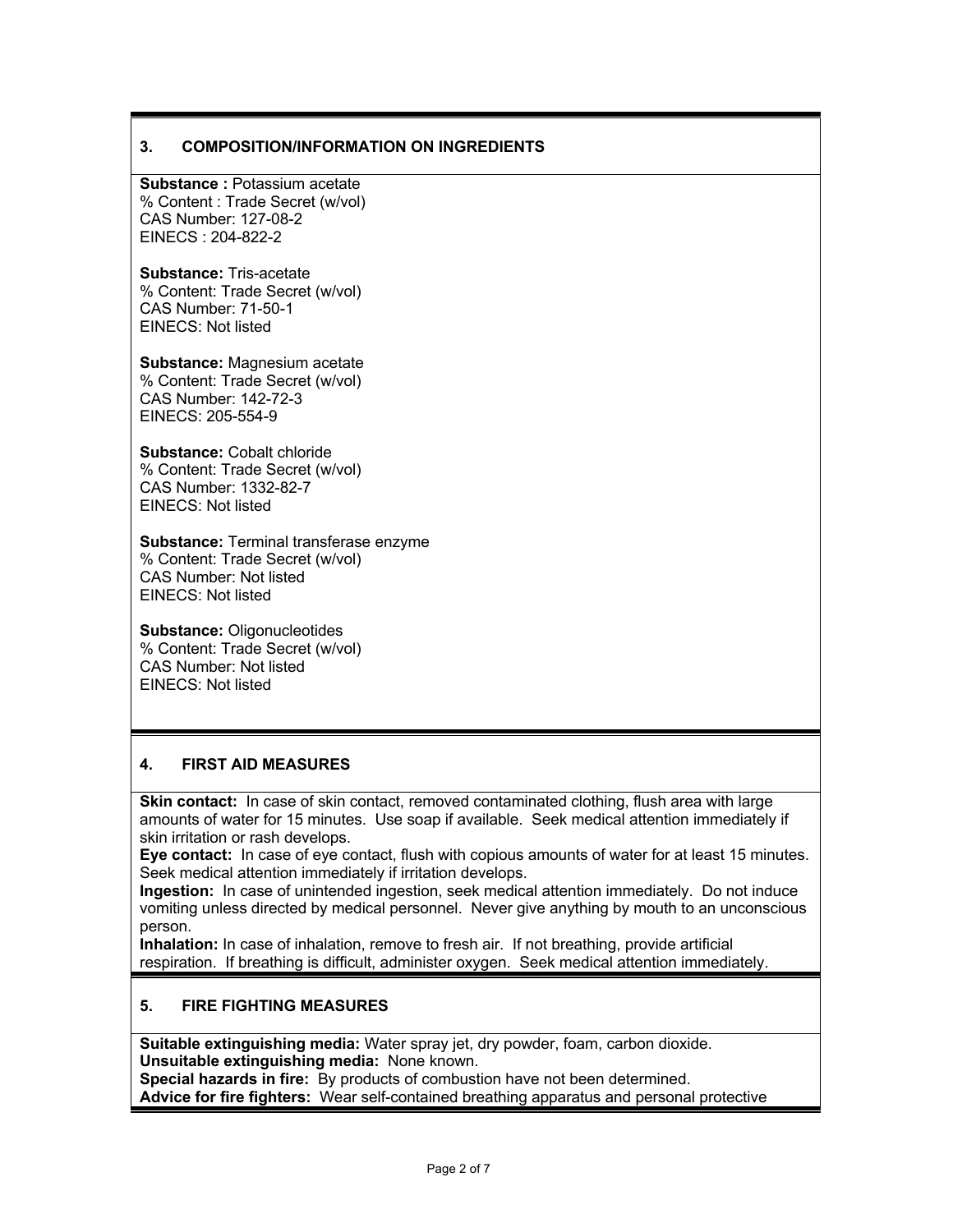#### **3. COMPOSITION/INFORMATION ON INGREDIENTS**

**Substance :** Potassium acetate % Content : Trade Secret (w/vol) CAS Number: 127-08-2 EINECS : 204-822-2

**Substance:** Tris-acetate % Content: Trade Secret (w/vol) CAS Number: 71-50-1 EINECS: Not listed

**Substance:** Magnesium acetate % Content: Trade Secret (w/vol) CAS Number: 142-72-3 EINECS: 205-554-9

**Substance:** Cobalt chloride % Content: Trade Secret (w/vol) CAS Number: 1332-82-7 EINECS: Not listed

**Substance:** Terminal transferase enzyme % Content: Trade Secret (w/vol) CAS Number: Not listed EINECS: Not listed

**Substance:** Oligonucleotides % Content: Trade Secret (w/vol) CAS Number: Not listed EINECS: Not listed

#### **4. FIRST AID MEASURES**

**Skin contact:** In case of skin contact, removed contaminated clothing, flush area with large amounts of water for 15 minutes. Use soap if available. Seek medical attention immediately if skin irritation or rash develops.

**Eye contact:** In case of eye contact, flush with copious amounts of water for at least 15 minutes. Seek medical attention immediately if irritation develops.

**Ingestion:** In case of unintended ingestion, seek medical attention immediately. Do not induce vomiting unless directed by medical personnel. Never give anything by mouth to an unconscious person.

**Inhalation:** In case of inhalation, remove to fresh air. If not breathing, provide artificial respiration. If breathing is difficult, administer oxygen. Seek medical attention immediately.

#### **5. FIRE FIGHTING MEASURES**

**Suitable extinguishing media:** Water spray jet, dry powder, foam, carbon dioxide. **Unsuitable extinguishing media:** None known. **Special hazards in fire:** By products of combustion have not been determined.

**Advice for fire fighters:** Wear self-contained breathing apparatus and personal protective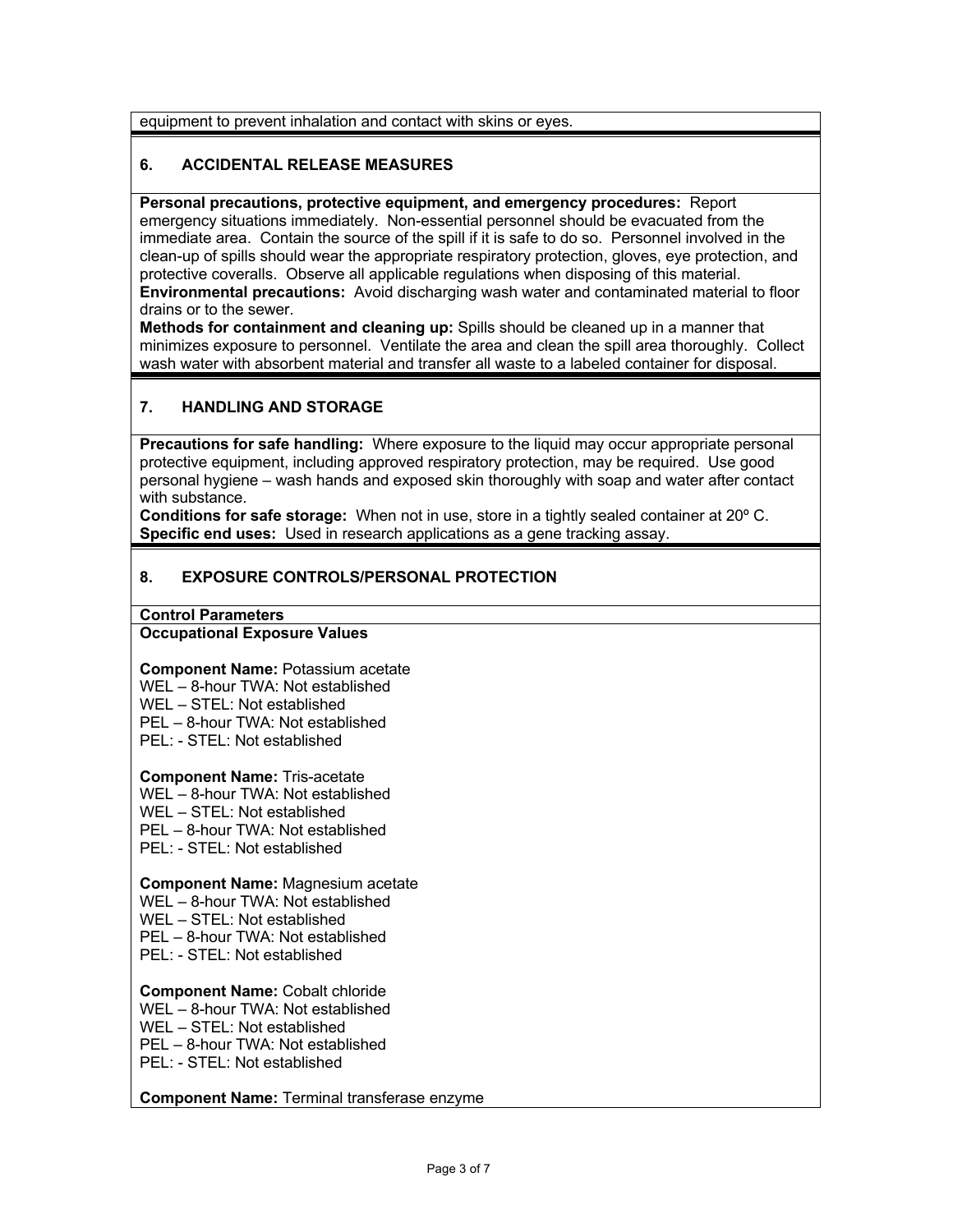equipment to prevent inhalation and contact with skins or eyes.

#### **6. ACCIDENTAL RELEASE MEASURES**

**Personal precautions, protective equipment, and emergency procedures:** Report emergency situations immediately. Non-essential personnel should be evacuated from the immediate area. Contain the source of the spill if it is safe to do so. Personnel involved in the clean-up of spills should wear the appropriate respiratory protection, gloves, eye protection, and protective coveralls. Observe all applicable regulations when disposing of this material. **Environmental precautions:** Avoid discharging wash water and contaminated material to floor drains or to the sewer.

**Methods for containment and cleaning up:** Spills should be cleaned up in a manner that minimizes exposure to personnel. Ventilate the area and clean the spill area thoroughly. Collect wash water with absorbent material and transfer all waste to a labeled container for disposal.

#### **7. HANDLING AND STORAGE**

**Precautions for safe handling:** Where exposure to the liquid may occur appropriate personal protective equipment, including approved respiratory protection, may be required. Use good personal hygiene – wash hands and exposed skin thoroughly with soap and water after contact with substance.

**Conditions for safe storage:** When not in use, store in a tightly sealed container at 20º C. **Specific end uses:** Used in research applications as a gene tracking assay.

#### **8. EXPOSURE CONTROLS/PERSONAL PROTECTION**

**Control Parameters**

#### **Occupational Exposure Values**

**Component Name:** Potassium acetate WEL – 8-hour TWA: Not established WEL – STEL: Not established PEL – 8-hour TWA: Not established

PEL: - STEL: Not established

**Component Name:** Tris-acetate

WEL – 8-hour TWA: Not established

WEL – STEL: Not established

PEL – 8-hour TWA: Not established

PEL: - STEL: Not established

#### **Component Name:** Magnesium acetate

WEL – 8-hour TWA: Not established

WEL – STEL: Not established

PEL – 8-hour TWA: Not established

PEL: - STEL: Not established

#### **Component Name:** Cobalt chloride

WEL – 8-hour TWA: Not established

WEL – STEL: Not established

PEL – 8-hour TWA: Not established

PEL: - STEL: Not established

#### **Component Name:** Terminal transferase enzyme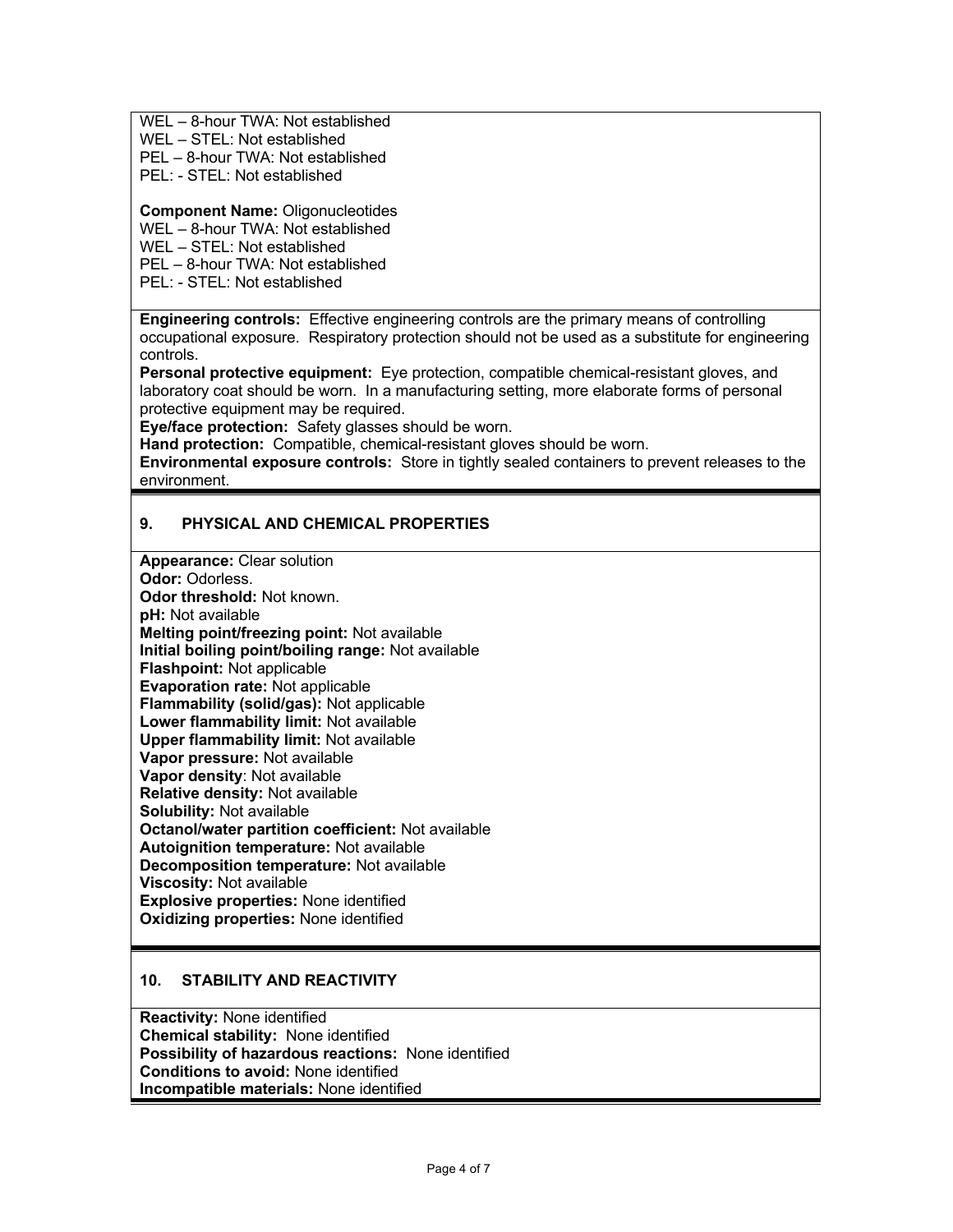WEL – 8-hour TWA: Not established

WEL – STEL: Not established

PEL – 8-hour TWA: Not established

PEL: - STEL: Not established

**Component Name:** Oligonucleotides

WEL – 8-hour TWA: Not established

WEL – STEL: Not established

PEL – 8-hour TWA: Not established

PEL: - STEL: Not established

**Engineering controls:** Effective engineering controls are the primary means of controlling occupational exposure. Respiratory protection should not be used as a substitute for engineering controls.

**Personal protective equipment:** Eye protection, compatible chemical-resistant gloves, and laboratory coat should be worn. In a manufacturing setting, more elaborate forms of personal protective equipment may be required.

**Eye/face protection:** Safety glasses should be worn.

**Hand protection:** Compatible, chemical-resistant gloves should be worn.

**Environmental exposure controls:** Store in tightly sealed containers to prevent releases to the environment.

#### **9. PHYSICAL AND CHEMICAL PROPERTIES**

**Appearance:** Clear solution **Odor:** Odorless. **Odor threshold:** Not known. **pH:** Not available **Melting point/freezing point:** Not available **Initial boiling point/boiling range:** Not available **Flashpoint:** Not applicable **Evaporation rate:** Not applicable **Flammability (solid/gas):** Not applicable **Lower flammability limit:** Not available **Upper flammability limit:** Not available **Vapor pressure:** Not available **Vapor density**: Not available **Relative density:** Not available **Solubility:** Not available **Octanol/water partition coefficient:** Not available **Autoignition temperature:** Not available **Decomposition temperature:** Not available **Viscosity:** Not available **Explosive properties:** None identified **Oxidizing properties:** None identified

#### **10. STABILITY AND REACTIVITY**

**Reactivity:** None identified **Chemical stability:** None identified **Possibility of hazardous reactions:** None identified **Conditions to avoid:** None identified **Incompatible materials:** None identified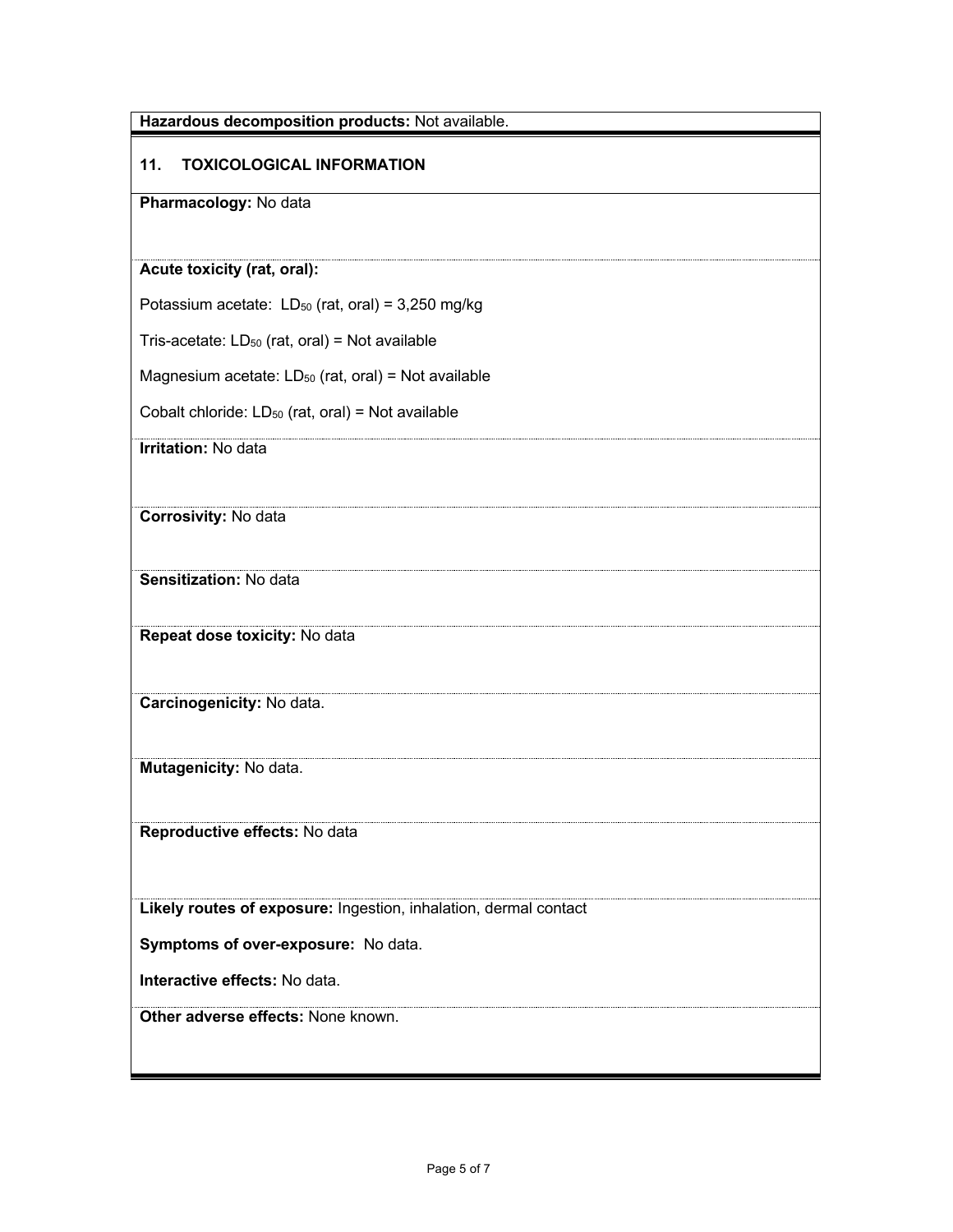| Hazardous decomposition products: Not available.                 |  |
|------------------------------------------------------------------|--|
| <b>TOXICOLOGICAL INFORMATION</b><br>11.                          |  |
| Pharmacology: No data                                            |  |
|                                                                  |  |
| Acute toxicity (rat, oral):                                      |  |
| Potassium acetate: $LD_{50}$ (rat, oral) = 3,250 mg/kg           |  |
| Tris-acetate: $LD_{50}$ (rat, oral) = Not available              |  |
| Magnesium acetate: $LD_{50}$ (rat, oral) = Not available         |  |
| Cobalt chloride: $LD_{50}$ (rat, oral) = Not available           |  |
| <b>Irritation: No data</b>                                       |  |
|                                                                  |  |
| Corrosivity: No data                                             |  |
|                                                                  |  |
| Sensitization: No data                                           |  |
| Repeat dose toxicity: No data                                    |  |
|                                                                  |  |
| Carcinogenicity: No data.                                        |  |
|                                                                  |  |
| Mutagenicity: No data.                                           |  |
|                                                                  |  |
| Reproductive effects: No data                                    |  |
|                                                                  |  |
| Likely routes of exposure: Ingestion, inhalation, dermal contact |  |
| Symptoms of over-exposure: No data.                              |  |
| Interactive effects: No data.                                    |  |
| Other adverse effects: None known.                               |  |
|                                                                  |  |
|                                                                  |  |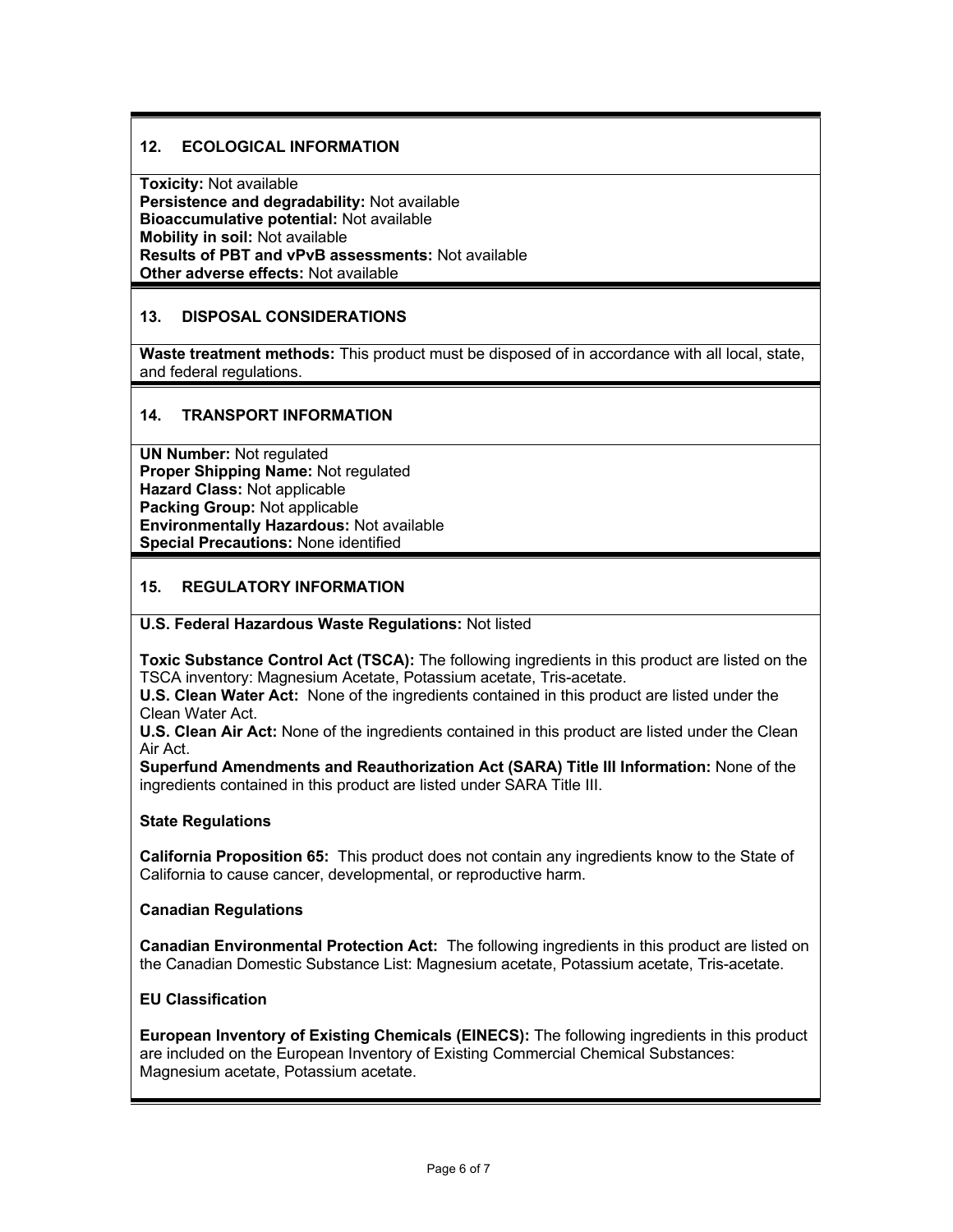#### **12. ECOLOGICAL INFORMATION**

**Toxicity:** Not available **Persistence and degradability:** Not available **Bioaccumulative potential:** Not available **Mobility in soil:** Not available **Results of PBT and vPvB assessments:** Not available **Other adverse effects:** Not available

#### **13. DISPOSAL CONSIDERATIONS**

**Waste treatment methods:** This product must be disposed of in accordance with all local, state, and federal regulations.

#### **14. TRANSPORT INFORMATION**

**UN Number:** Not regulated **Proper Shipping Name:** Not regulated **Hazard Class:** Not applicable **Packing Group:** Not applicable **Environmentally Hazardous:** Not available **Special Precautions:** None identified

#### **15. REGULATORY INFORMATION**

#### **U.S. Federal Hazardous Waste Regulations:** Not listed

**Toxic Substance Control Act (TSCA):** The following ingredients in this product are listed on the TSCA inventory: Magnesium Acetate, Potassium acetate, Tris-acetate.

**U.S. Clean Water Act:** None of the ingredients contained in this product are listed under the Clean Water Act.

**U.S. Clean Air Act:** None of the ingredients contained in this product are listed under the Clean Air Act.

**Superfund Amendments and Reauthorization Act (SARA) Title III Information:** None of the ingredients contained in this product are listed under SARA Title III.

#### **State Regulations**

**California Proposition 65:** This product does not contain any ingredients know to the State of California to cause cancer, developmental, or reproductive harm.

#### **Canadian Regulations**

**Canadian Environmental Protection Act:** The following ingredients in this product are listed on the Canadian Domestic Substance List: Magnesium acetate, Potassium acetate, Tris-acetate.

#### **EU Classification**

**European Inventory of Existing Chemicals (EINECS):** The following ingredients in this product are included on the European Inventory of Existing Commercial Chemical Substances: Magnesium acetate, Potassium acetate.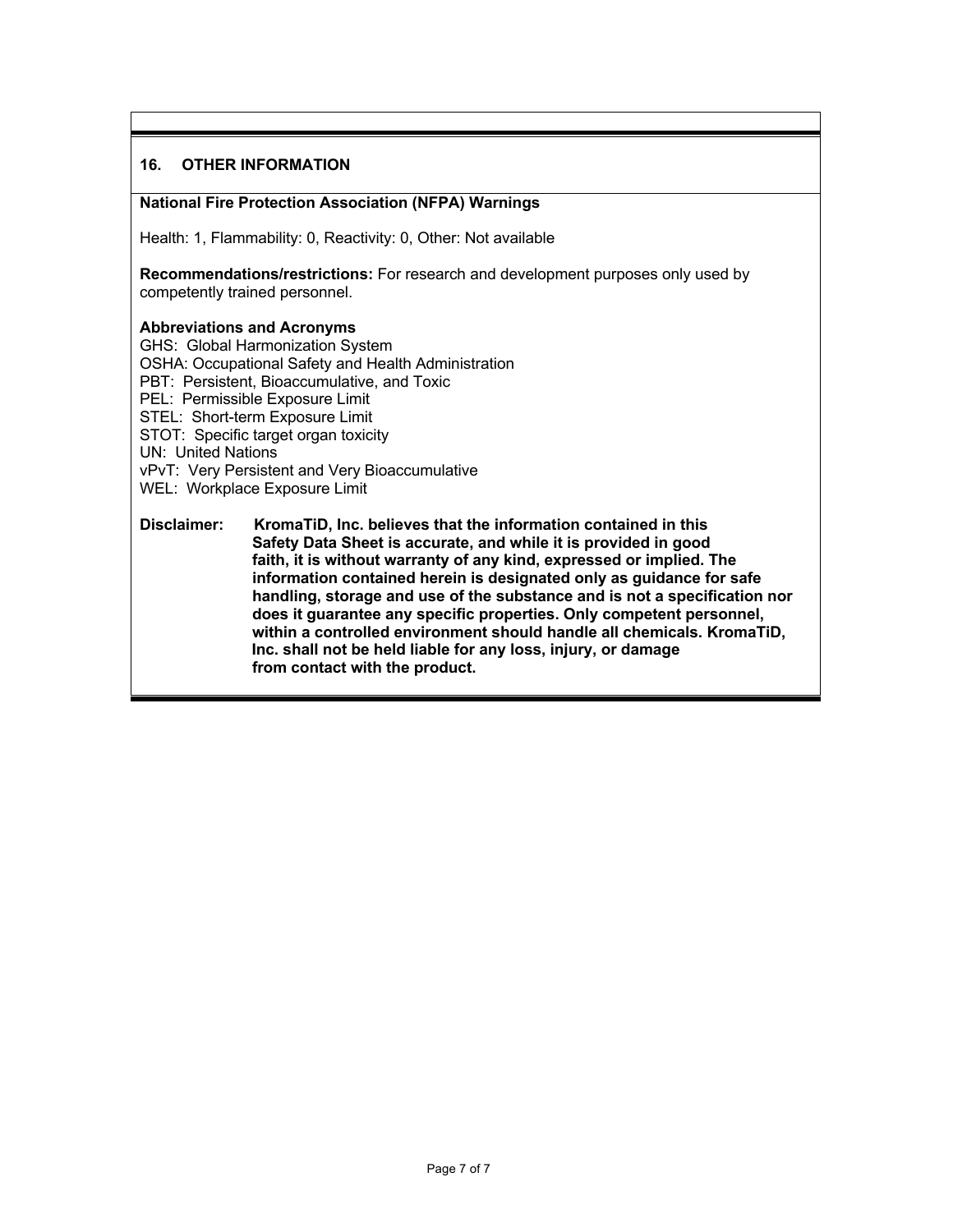#### **16. OTHER INFORMATION**

#### **National Fire Protection Association (NFPA) Warnings**

Health: 1, Flammability: 0, Reactivity: 0, Other: Not available

**Recommendations/restrictions:** For research and development purposes only used by competently trained personnel.

#### **Abbreviations and Acronyms**

GHS: Global Harmonization System OSHA: Occupational Safety and Health Administration PBT: Persistent, Bioaccumulative, and Toxic PEL: Permissible Exposure Limit STEL: Short-term Exposure Limit STOT: Specific target organ toxicity UN: United Nations vPvT: Very Persistent and Very Bioaccumulative WEL: Workplace Exposure Limit

**Disclaimer: KromaTiD, Inc. believes that the information contained in this Safety Data Sheet is accurate, and while it is provided in good faith, it is without warranty of any kind, expressed or implied. The information contained herein is designated only as guidance for safe handling, storage and use of the substance and is not a specification nor does it guarantee any specific properties. Only competent personnel, within a controlled environment should handle all chemicals. KromaTiD, Inc. shall not be held liable for any loss, injury, or damage from contact with the product.**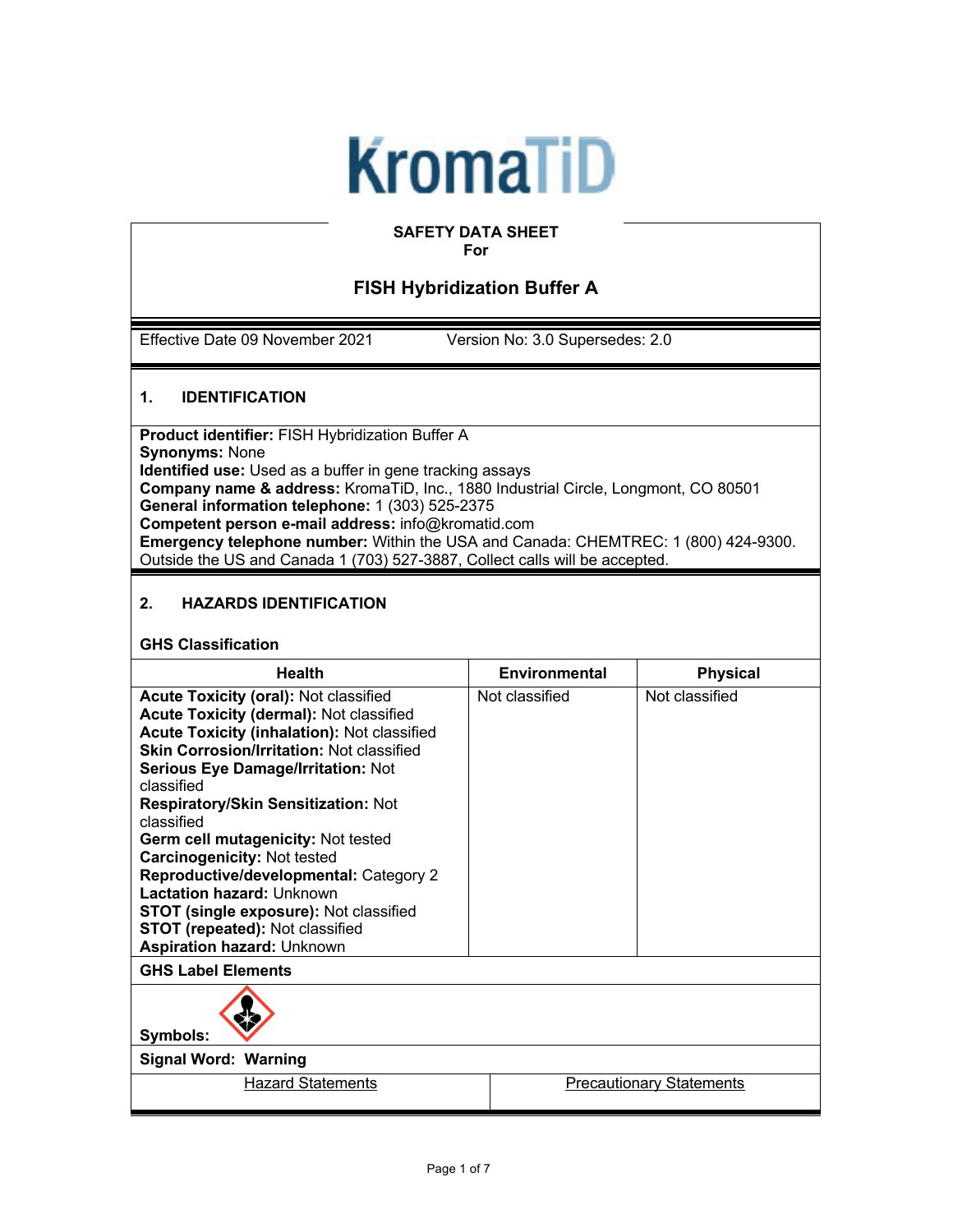# **KromaTiD**

#### **SAFETY DATA SHEET For**

### **FISH Hybridization Buffer A**

Effective Date 09 November 2021 Version No: 3.0 Supersedes: 2.0

#### **1. IDENTIFICATION**

**Product identifier:** FISH Hybridization Buffer A **Synonyms:** None **Identified use:** Used as a buffer in gene tracking assays **Company name & address:** KromaTiD, Inc., 1880 Industrial Circle, Longmont, CO 80501 **General information telephone:** 1 (303) 525-2375 **Competent person e-mail address:** info@kromatid.com **Emergency telephone number:** Within the USA and Canada: CHEMTREC: 1 (800) 424-9300. Outside the US and Canada 1 (703) 527-3887, Collect calls will be accepted.

#### **2. HAZARDS IDENTIFICATION**

#### **GHS Classification**

| <b>Health</b>                                      | <b>Environmental</b> | <b>Physical</b> |
|----------------------------------------------------|----------------------|-----------------|
| <b>Acute Toxicity (oral): Not classified</b>       | Not classified       | Not classified  |
| Acute Toxicity (dermal): Not classified            |                      |                 |
| <b>Acute Toxicity (inhalation): Not classified</b> |                      |                 |
| <b>Skin Corrosion/Irritation: Not classified</b>   |                      |                 |
| <b>Serious Eye Damage/Irritation: Not</b>          |                      |                 |
| classified                                         |                      |                 |
| <b>Respiratory/Skin Sensitization: Not</b>         |                      |                 |
| classified                                         |                      |                 |
| Germ cell mutagenicity: Not tested                 |                      |                 |
| <b>Carcinogenicity: Not tested</b>                 |                      |                 |
| Reproductive/developmental: Category 2             |                      |                 |
| Lactation hazard: Unknown                          |                      |                 |
| STOT (single exposure): Not classified             |                      |                 |
| STOT (repeated): Not classified                    |                      |                 |
| <b>Aspiration hazard: Unknown</b>                  |                      |                 |
| <b>GHS Label Elements</b>                          |                      |                 |
| Symbols:                                           |                      |                 |
| $-1.341 - 1.1.341$                                 |                      |                 |

**Signal Word: Warning**

Hazard Statements **Precautionary Statements**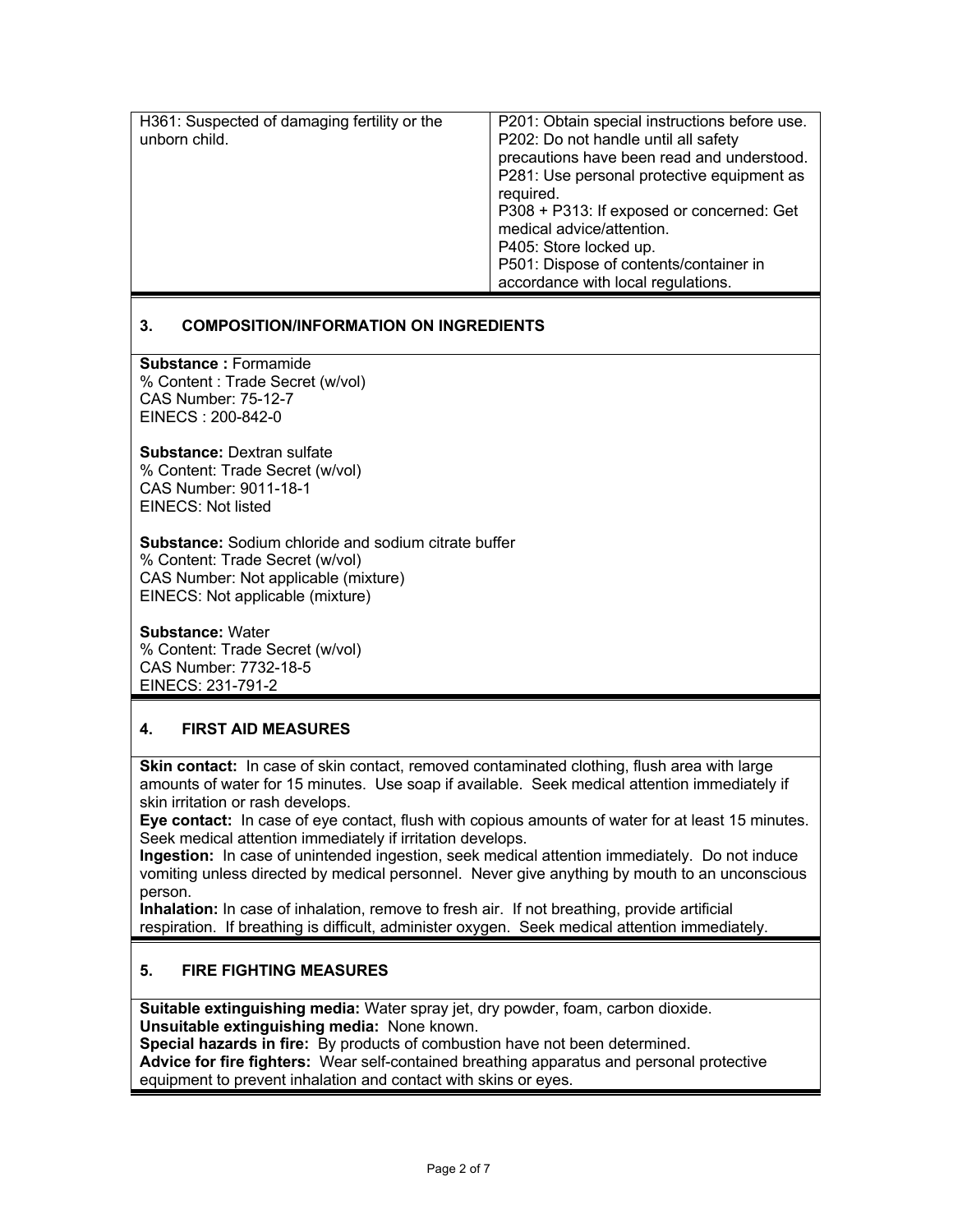| H361: Suspected of damaging fertility or the<br>unborn child. | P201: Obtain special instructions before use.<br>P202: Do not handle until all safety<br>precautions have been read and understood.<br>P281: Use personal protective equipment as<br>required.<br>P308 + P313: If exposed or concerned: Get<br>medical advice/attention.<br>P405: Store locked up.<br>P501: Dispose of contents/container in<br>accordance with local regulations. |
|---------------------------------------------------------------|------------------------------------------------------------------------------------------------------------------------------------------------------------------------------------------------------------------------------------------------------------------------------------------------------------------------------------------------------------------------------------|

#### **3. COMPOSITION/INFORMATION ON INGREDIENTS**

**Substance :** Formamide % Content : Trade Secret (w/vol) CAS Number: 75-12-7 EINECS : 200-842-0

**Substance:** Dextran sulfate % Content: Trade Secret (w/vol) CAS Number: 9011-18-1 EINECS: Not listed

**Substance:** Sodium chloride and sodium citrate buffer % Content: Trade Secret (w/vol) CAS Number: Not applicable (mixture) EINECS: Not applicable (mixture)

**Substance:** Water % Content: Trade Secret (w/vol) CAS Number: 7732-18-5 EINECS: 231-791-2

#### **4. FIRST AID MEASURES**

**Skin contact:** In case of skin contact, removed contaminated clothing, flush area with large amounts of water for 15 minutes. Use soap if available. Seek medical attention immediately if skin irritation or rash develops.

**Eye contact:** In case of eye contact, flush with copious amounts of water for at least 15 minutes. Seek medical attention immediately if irritation develops.

**Ingestion:** In case of unintended ingestion, seek medical attention immediately. Do not induce vomiting unless directed by medical personnel. Never give anything by mouth to an unconscious person.

**Inhalation:** In case of inhalation, remove to fresh air. If not breathing, provide artificial respiration. If breathing is difficult, administer oxygen. Seek medical attention immediately.

#### **5. FIRE FIGHTING MEASURES**

**Suitable extinguishing media:** Water spray jet, dry powder, foam, carbon dioxide. **Unsuitable extinguishing media:** None known.

**Special hazards in fire:** By products of combustion have not been determined.

**Advice for fire fighters:** Wear self-contained breathing apparatus and personal protective equipment to prevent inhalation and contact with skins or eyes.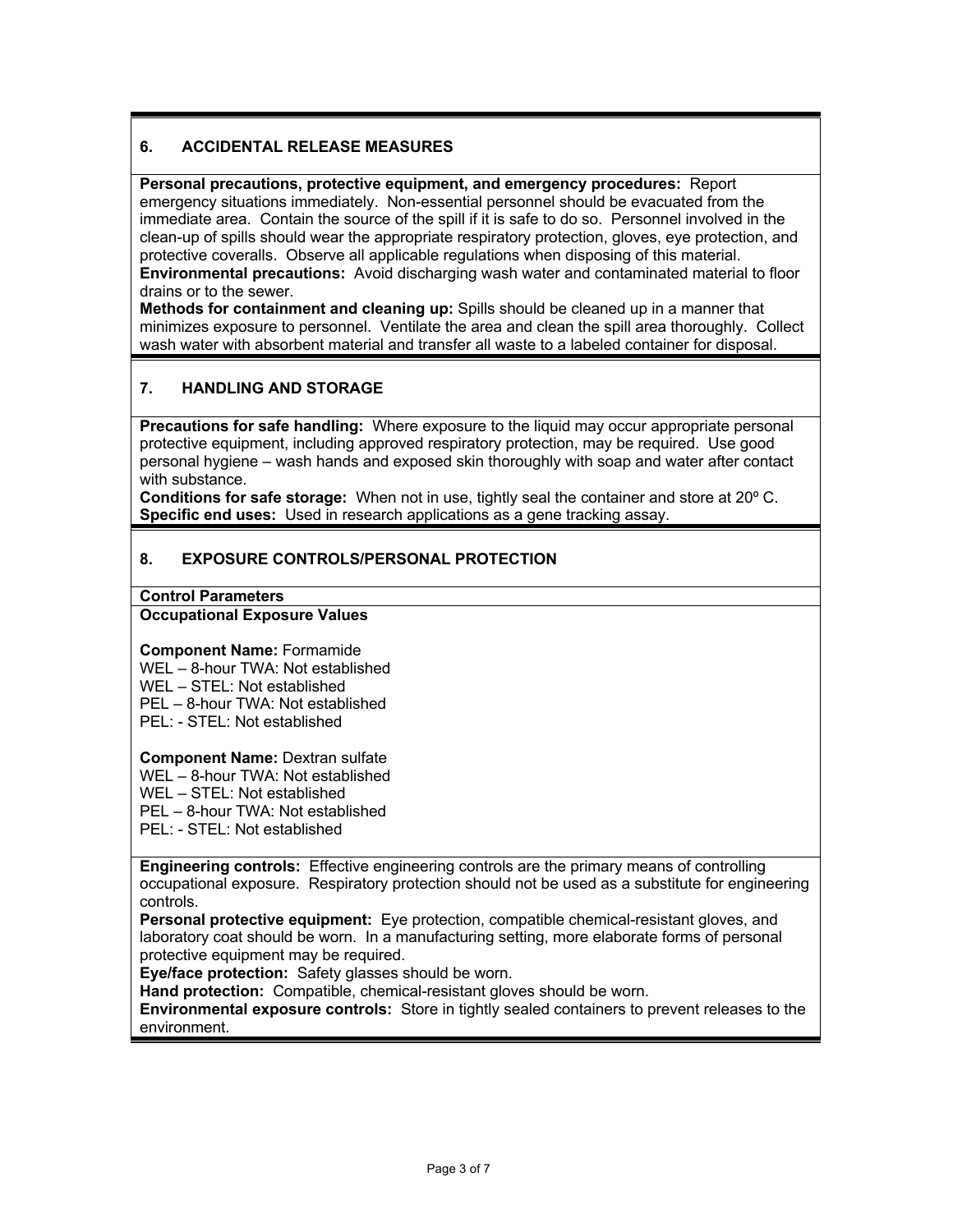#### **6. ACCIDENTAL RELEASE MEASURES**

**Personal precautions, protective equipment, and emergency procedures:** Report emergency situations immediately. Non-essential personnel should be evacuated from the immediate area. Contain the source of the spill if it is safe to do so. Personnel involved in the clean-up of spills should wear the appropriate respiratory protection, gloves, eye protection, and protective coveralls. Observe all applicable regulations when disposing of this material. **Environmental precautions:** Avoid discharging wash water and contaminated material to floor drains or to the sewer.

**Methods for containment and cleaning up:** Spills should be cleaned up in a manner that minimizes exposure to personnel. Ventilate the area and clean the spill area thoroughly. Collect wash water with absorbent material and transfer all waste to a labeled container for disposal.

#### **7. HANDLING AND STORAGE**

**Precautions for safe handling:** Where exposure to the liquid may occur appropriate personal protective equipment, including approved respiratory protection, may be required. Use good personal hygiene – wash hands and exposed skin thoroughly with soap and water after contact with substance.

**Conditions for safe storage:** When not in use, tightly seal the container and store at 20º C. **Specific end uses:** Used in research applications as a gene tracking assay.

#### **8. EXPOSURE CONTROLS/PERSONAL PROTECTION**

#### **Control Parameters**

#### **Occupational Exposure Values**

**Component Name:** Formamide WEL – 8-hour TWA: Not established WEL – STEL: Not established PEL – 8-hour TWA: Not established PEL: - STEL: Not established

**Component Name:** Dextran sulfate

WEL – 8-hour TWA: Not established

WEL – STEL: Not established

PEL – 8-hour TWA: Not established

PEL: - STEL: Not established

**Engineering controls:** Effective engineering controls are the primary means of controlling occupational exposure. Respiratory protection should not be used as a substitute for engineering controls.

**Personal protective equipment:** Eye protection, compatible chemical-resistant gloves, and laboratory coat should be worn. In a manufacturing setting, more elaborate forms of personal protective equipment may be required.

**Eye/face protection:** Safety glasses should be worn.

**Hand protection:** Compatible, chemical-resistant gloves should be worn.

**Environmental exposure controls:** Store in tightly sealed containers to prevent releases to the environment.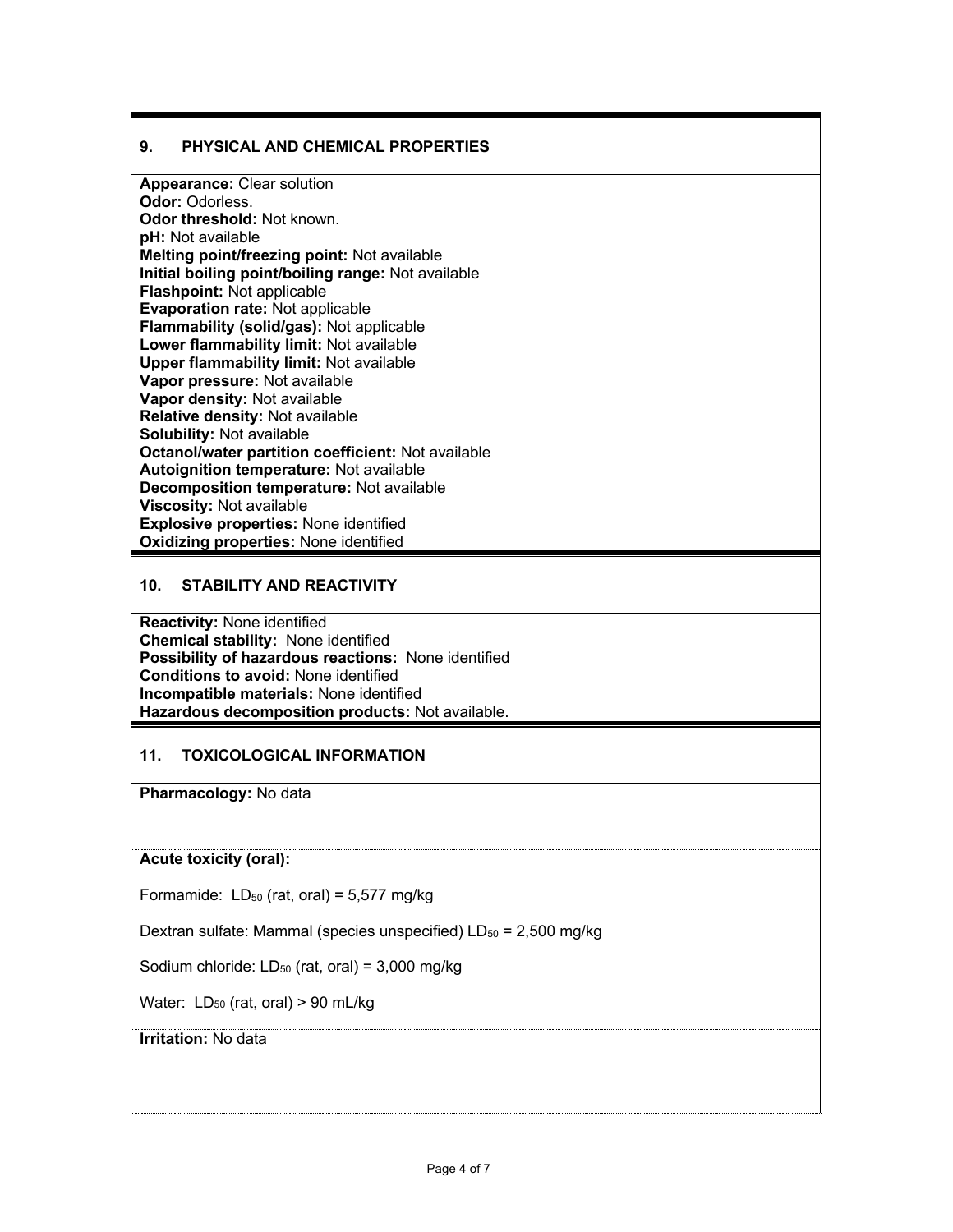#### **9. PHYSICAL AND CHEMICAL PROPERTIES**

**Appearance:** Clear solution **Odor:** Odorless. **Odor threshold:** Not known. **pH:** Not available **Melting point/freezing point:** Not available **Initial boiling point/boiling range:** Not available **Flashpoint:** Not applicable **Evaporation rate:** Not applicable **Flammability (solid/gas):** Not applicable **Lower flammability limit:** Not available **Upper flammability limit:** Not available **Vapor pressure:** Not available **Vapor density:** Not available **Relative density:** Not available **Solubility:** Not available **Octanol/water partition coefficient:** Not available **Autoignition temperature:** Not available **Decomposition temperature:** Not available **Viscosity:** Not available **Explosive properties:** None identified **Oxidizing properties:** None identified

#### **10. STABILITY AND REACTIVITY**

**Reactivity:** None identified **Chemical stability:** None identified **Possibility of hazardous reactions:** None identified **Conditions to avoid:** None identified **Incompatible materials:** None identified **Hazardous decomposition products:** Not available.

#### **11. TOXICOLOGICAL INFORMATION**

**Pharmacology:** No data

#### **Acute toxicity (oral):**

Formamide:  $LD_{50}$  (rat, oral) = 5,577 mg/kg

Dextran sulfate: Mammal (species unspecified)  $LD_{50} = 2,500$  mg/kg

Sodium chloride:  $LD_{50}$  (rat, oral) = 3,000 mg/kg

Water:  $LD_{50}$  (rat, oral) > 90 mL/kg

#### **Irritation:** No data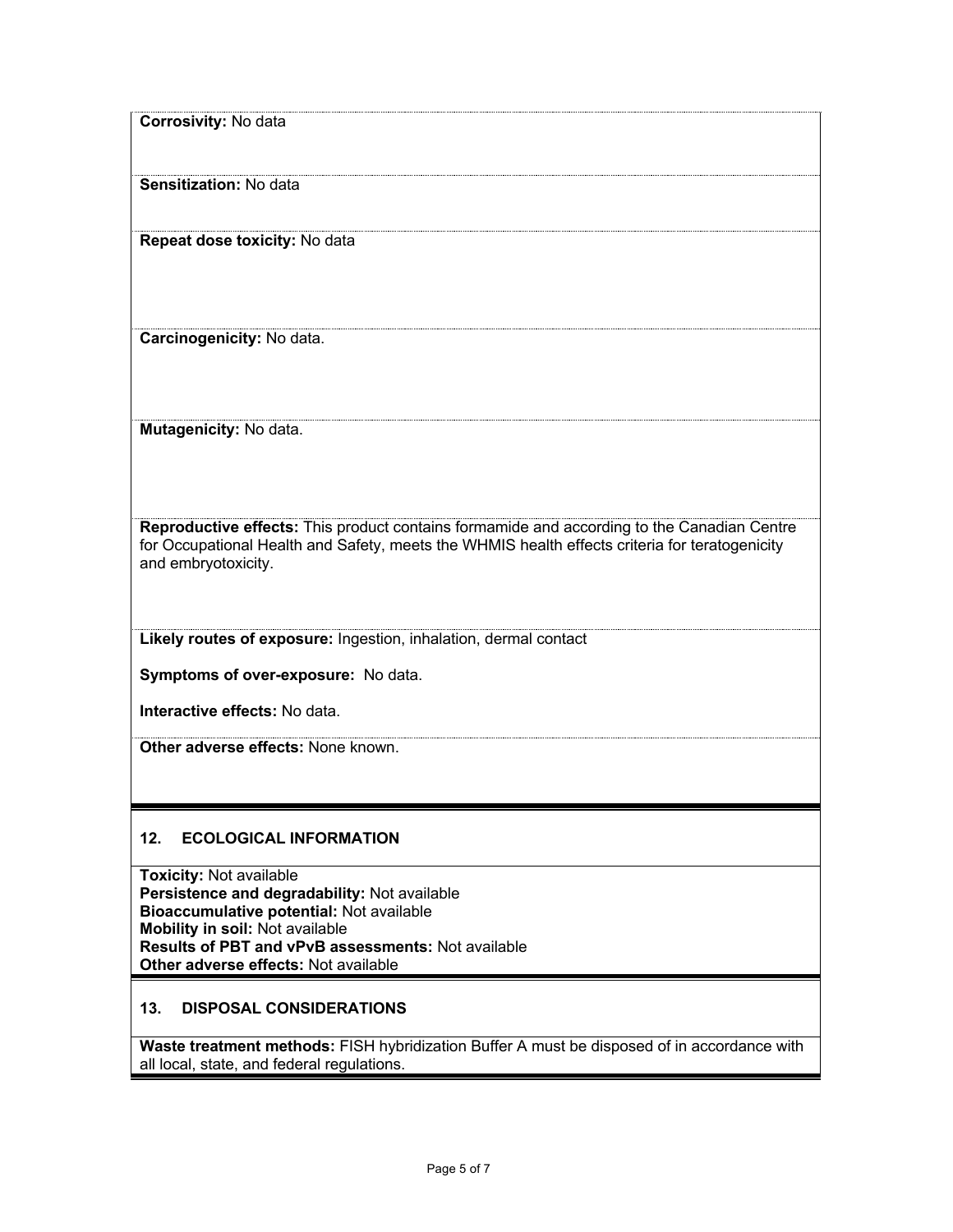| <b>Corrosivity: No data</b>                                                                                                               |
|-------------------------------------------------------------------------------------------------------------------------------------------|
|                                                                                                                                           |
| Sensitization: No data                                                                                                                    |
|                                                                                                                                           |
| Repeat dose toxicity: No data                                                                                                             |
|                                                                                                                                           |
|                                                                                                                                           |
|                                                                                                                                           |
| Carcinogenicity: No data.                                                                                                                 |
|                                                                                                                                           |
|                                                                                                                                           |
| Mutagenicity: No data.                                                                                                                    |
|                                                                                                                                           |
|                                                                                                                                           |
|                                                                                                                                           |
| Reproductive effects: This product contains formamide and according to the Canadian Centre                                                |
| for Occupational Health and Safety, meets the WHMIS health effects criteria for teratogenicity<br>and embryotoxicity.                     |
|                                                                                                                                           |
|                                                                                                                                           |
| Likely routes of exposure: Ingestion, inhalation, dermal contact                                                                          |
|                                                                                                                                           |
| Symptoms of over-exposure: No data.                                                                                                       |
| Interactive effects: No data.                                                                                                             |
| Other adverse effects: None known.                                                                                                        |
|                                                                                                                                           |
|                                                                                                                                           |
|                                                                                                                                           |
| 12.<br><b>ECOLOGICAL INFORMATION</b>                                                                                                      |
| <b>Toxicity: Not available</b>                                                                                                            |
| Persistence and degradability: Not available<br>Bioaccumulative potential: Not available                                                  |
| Mobility in soil: Not available                                                                                                           |
| Results of PBT and vPvB assessments: Not available<br>Other adverse effects: Not available                                                |
|                                                                                                                                           |
| 13.<br><b>DISPOSAL CONSIDERATIONS</b>                                                                                                     |
|                                                                                                                                           |
| Waste treatment methods: FISH hybridization Buffer A must be disposed of in accordance with<br>all local, state, and federal regulations. |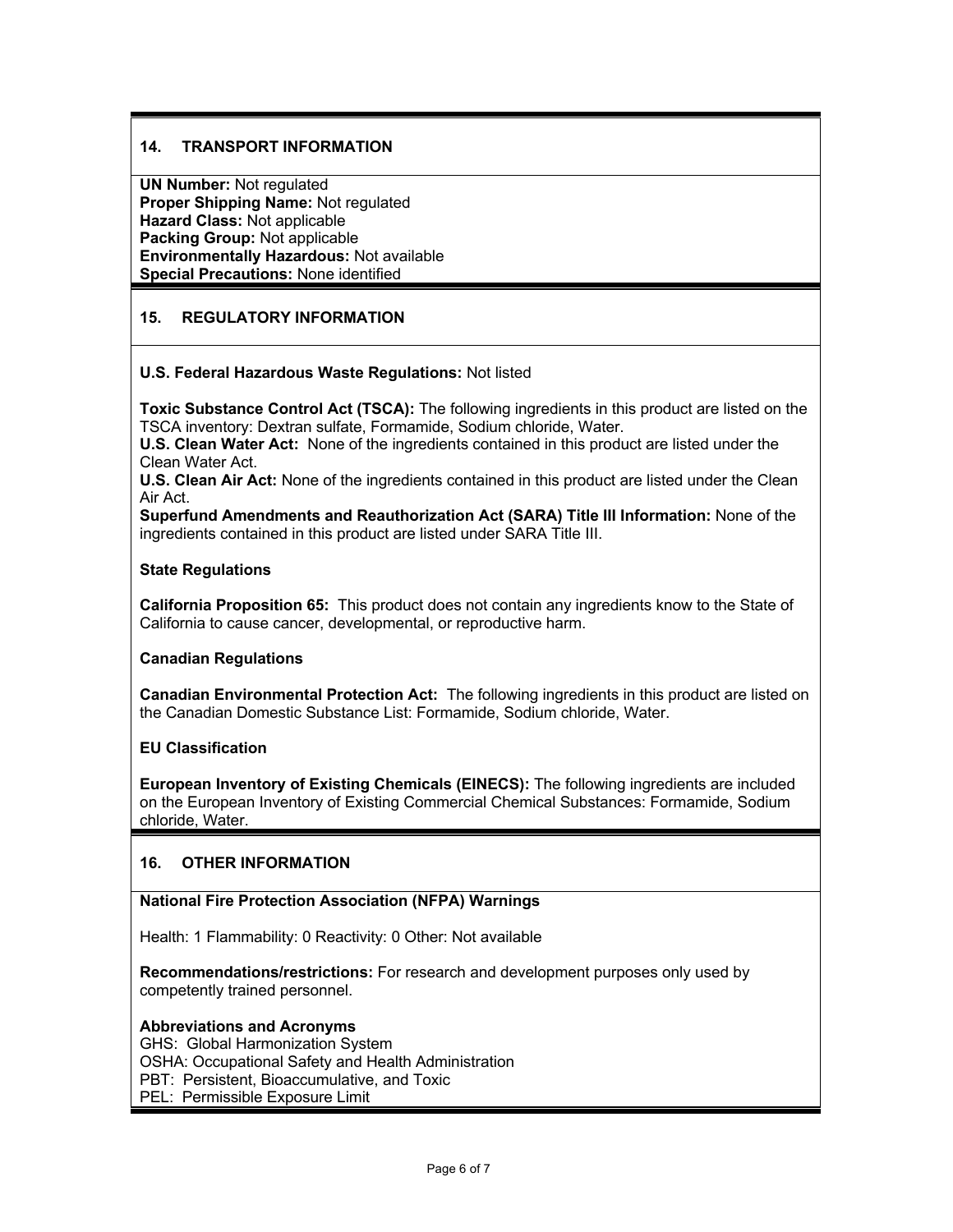#### **14. TRANSPORT INFORMATION**

**UN Number:** Not regulated **Proper Shipping Name:** Not regulated **Hazard Class:** Not applicable **Packing Group:** Not applicable **Environmentally Hazardous:** Not available **Special Precautions:** None identified

#### **15. REGULATORY INFORMATION**

#### **U.S. Federal Hazardous Waste Regulations:** Not listed

**Toxic Substance Control Act (TSCA):** The following ingredients in this product are listed on the TSCA inventory: Dextran sulfate, Formamide, Sodium chloride, Water.

**U.S. Clean Water Act:** None of the ingredients contained in this product are listed under the Clean Water Act.

**U.S. Clean Air Act:** None of the ingredients contained in this product are listed under the Clean Air Act.

**Superfund Amendments and Reauthorization Act (SARA) Title III Information:** None of the ingredients contained in this product are listed under SARA Title III.

#### **State Regulations**

**California Proposition 65:** This product does not contain any ingredients know to the State of California to cause cancer, developmental, or reproductive harm.

#### **Canadian Regulations**

**Canadian Environmental Protection Act:** The following ingredients in this product are listed on the Canadian Domestic Substance List: Formamide, Sodium chloride, Water.

#### **EU Classification**

**European Inventory of Existing Chemicals (EINECS):** The following ingredients are included on the European Inventory of Existing Commercial Chemical Substances: Formamide, Sodium chloride, Water.

#### **16. OTHER INFORMATION**

#### **National Fire Protection Association (NFPA) Warnings**

Health: 1 Flammability: 0 Reactivity: 0 Other: Not available

**Recommendations/restrictions:** For research and development purposes only used by competently trained personnel.

#### **Abbreviations and Acronyms**

GHS: Global Harmonization System OSHA: Occupational Safety and Health Administration PBT: Persistent, Bioaccumulative, and Toxic PEL: Permissible Exposure Limit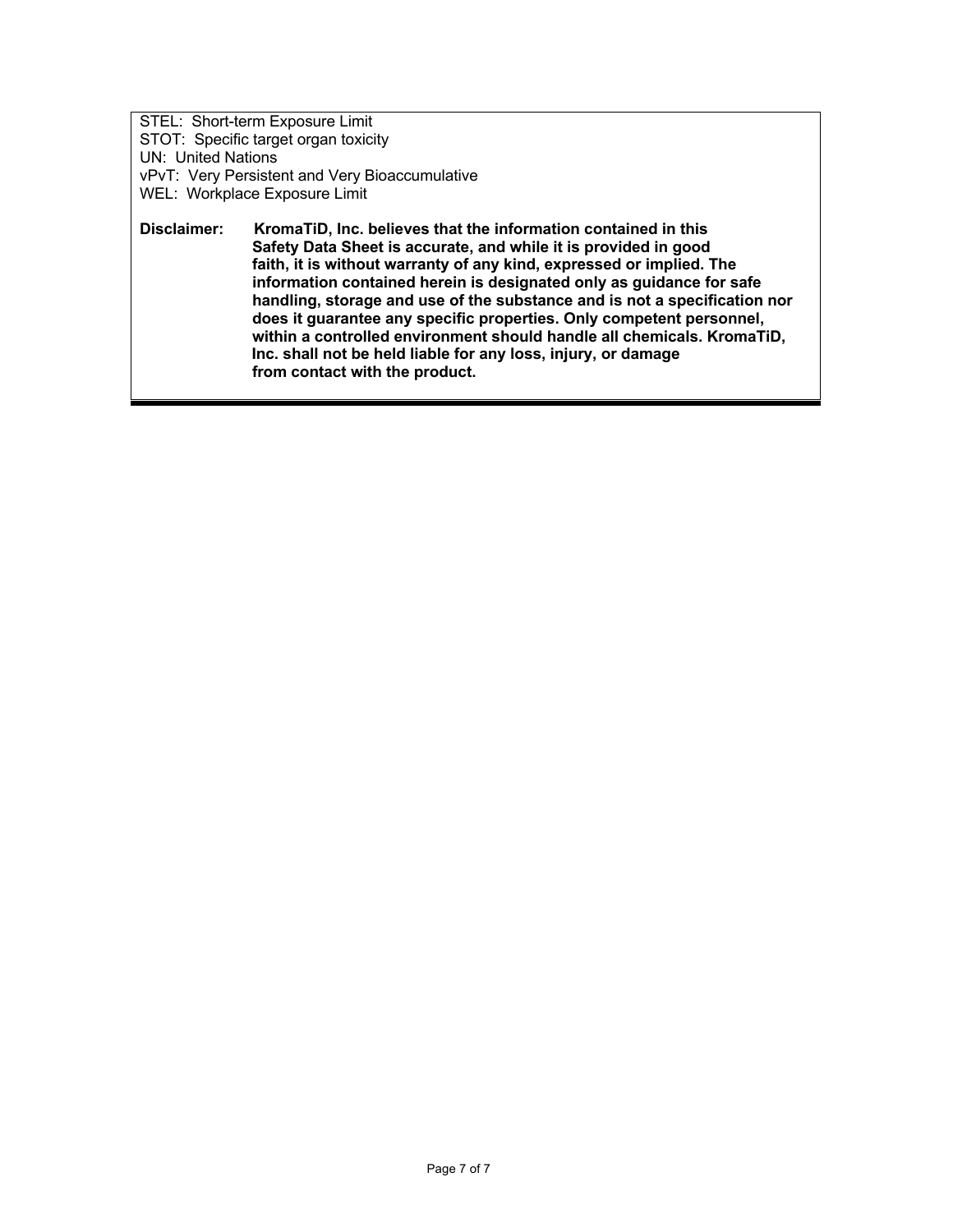STEL: Short-term Exposure Limit STOT: Specific target organ toxicity UN: United Nations vPvT: Very Persistent and Very Bioaccumulative WEL: Workplace Exposure Limit **Disclaimer: KromaTiD, Inc. believes that the information contained in this** 

 **Safety Data Sheet is accurate, and while it is provided in good faith, it is without warranty of any kind, expressed or implied. The information contained herein is designated only as guidance for safe handling, storage and use of the substance and is not a specification nor does it guarantee any specific properties. Only competent personnel, within a controlled environment should handle all chemicals. KromaTiD, Inc. shall not be held liable for any loss, injury, or damage from contact with the product.**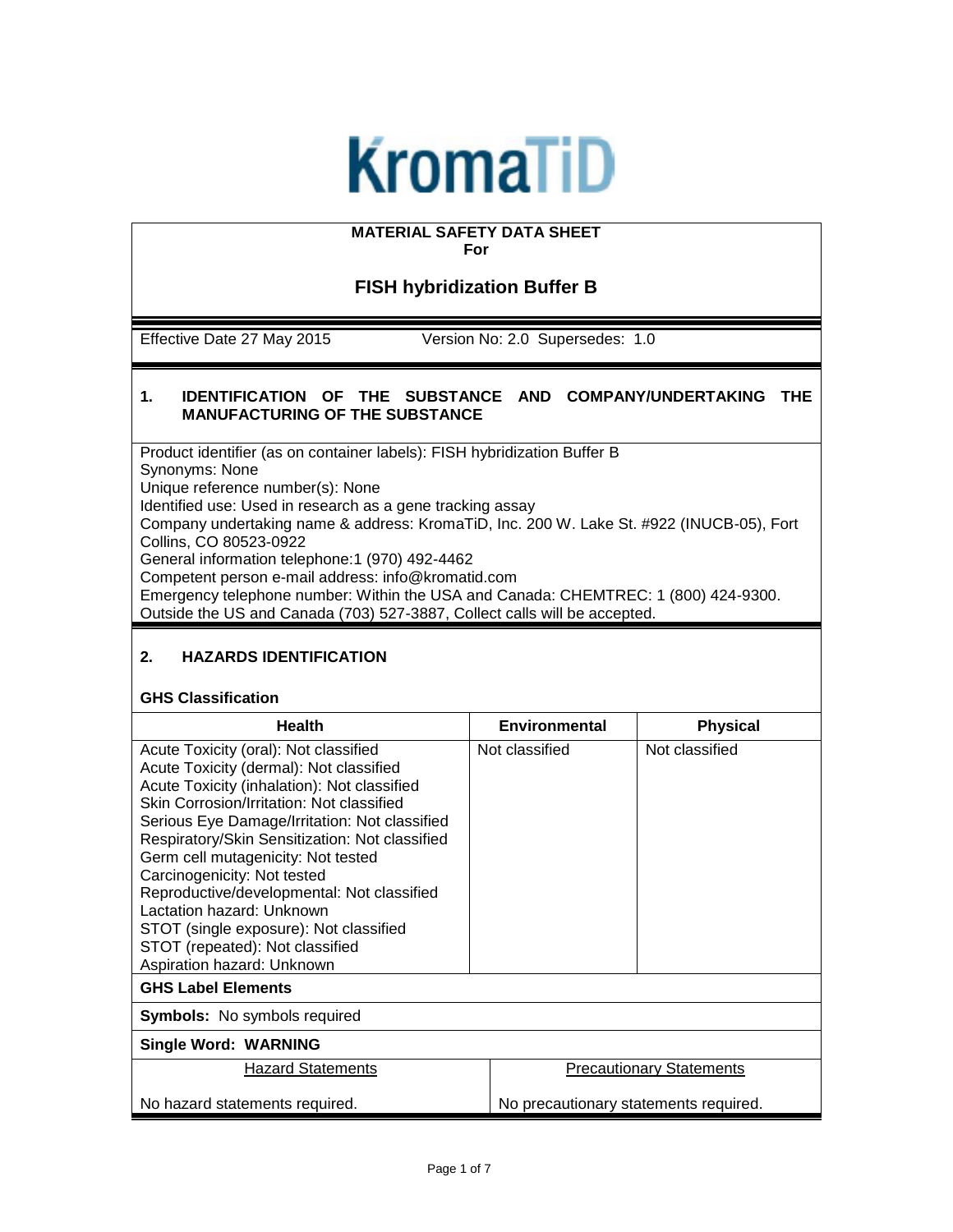# **KromaTiD**

# **MATERIAL SAFETY DATA SHEET**

**For** 

### **FISH hybridization Buffer B**

Effective Date 27 May 2015 Version No: 2.0 Supersedes: 1.0

#### **1. IDENTIFICATION OF THE SUBSTANCE AND COMPANY/UNDERTAKING THE MANUFACTURING OF THE SUBSTANCE**

Product identifier (as on container labels): FISH hybridization Buffer B Synonyms: None Unique reference number(s): None Identified use: Used in research as a gene tracking assay Company undertaking name & address: KromaTiD, Inc. 200 W. Lake St. #922 (INUCB-05), Fort Collins, CO 80523-0922 General information telephone:1 (970) 492-4462 Competent person e-mail address: info@kromatid.com Emergency telephone number: Within the USA and Canada: CHEMTREC: 1 (800) 424-9300.

Outside the US and Canada (703) 527-3887, Collect calls will be accepted.

#### **2. HAZARDS IDENTIFICATION**

#### **GHS Classification**

| <b>Health</b>                                                                                                                                                                                                                                                                                                                                                                                                                                                                                                                              | <b>Environmental</b> | <b>Physical</b>                       |  |
|--------------------------------------------------------------------------------------------------------------------------------------------------------------------------------------------------------------------------------------------------------------------------------------------------------------------------------------------------------------------------------------------------------------------------------------------------------------------------------------------------------------------------------------------|----------------------|---------------------------------------|--|
| Acute Toxicity (oral): Not classified<br>Acute Toxicity (dermal): Not classified<br>Acute Toxicity (inhalation): Not classified<br>Skin Corrosion/Irritation: Not classified<br>Serious Eye Damage/Irritation: Not classified<br>Respiratory/Skin Sensitization: Not classified<br>Germ cell mutagenicity: Not tested<br>Carcinogenicity: Not tested<br>Reproductive/developmental: Not classified<br>Lactation hazard: Unknown<br>STOT (single exposure): Not classified<br>STOT (repeated): Not classified<br>Aspiration hazard: Unknown | Not classified       | Not classified                        |  |
| <b>GHS Label Elements</b>                                                                                                                                                                                                                                                                                                                                                                                                                                                                                                                  |                      |                                       |  |
| <b>Symbols:</b> No symbols required                                                                                                                                                                                                                                                                                                                                                                                                                                                                                                        |                      |                                       |  |
| <b>Single Word: WARNING</b>                                                                                                                                                                                                                                                                                                                                                                                                                                                                                                                |                      |                                       |  |
| <b>Hazard Statements</b>                                                                                                                                                                                                                                                                                                                                                                                                                                                                                                                   |                      | <b>Precautionary Statements</b>       |  |
| No hazard statements required.                                                                                                                                                                                                                                                                                                                                                                                                                                                                                                             |                      | No precautionary statements required. |  |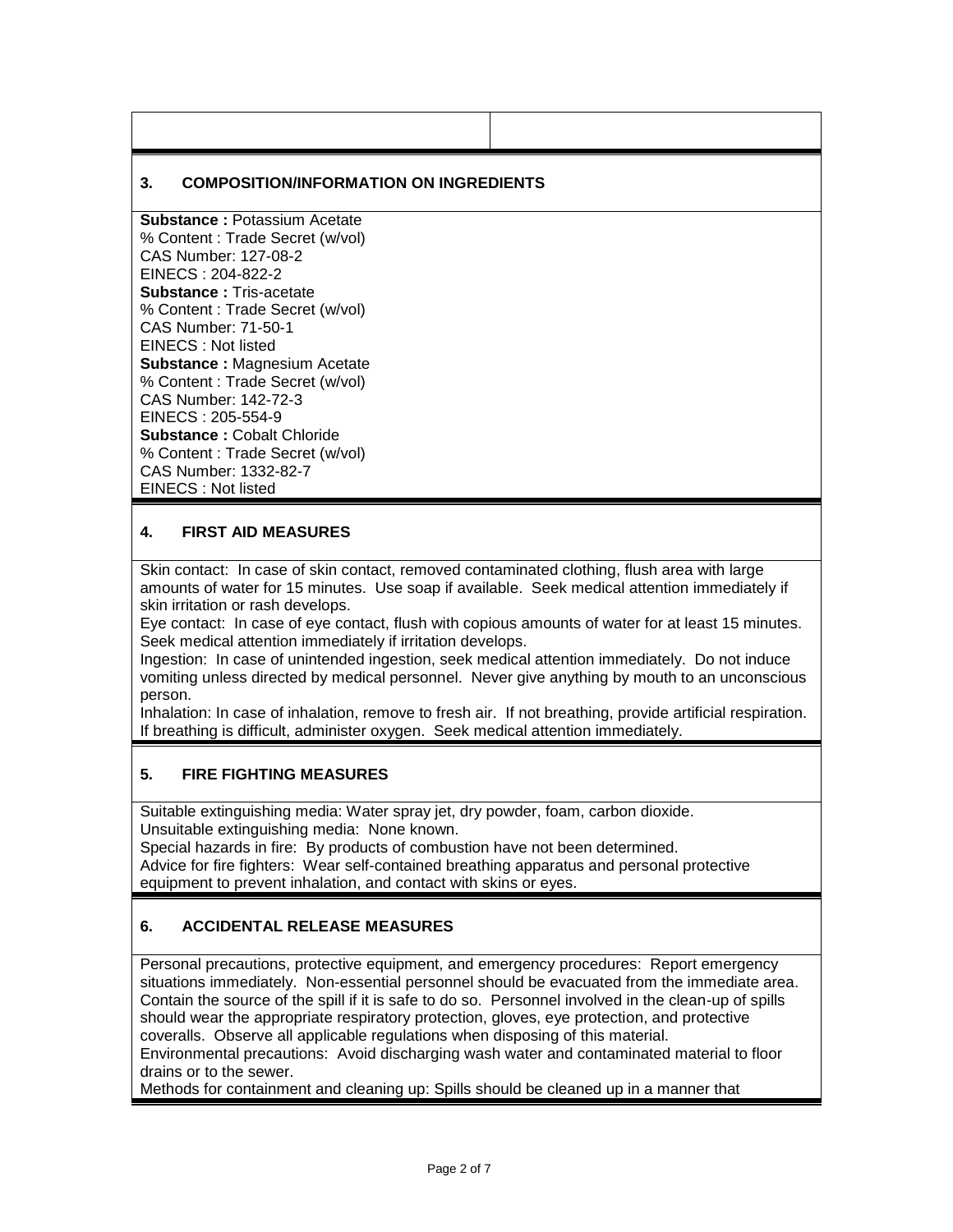#### **3. COMPOSITION/INFORMATION ON INGREDIENTS**

**Substance :** Potassium Acetate % Content : Trade Secret (w/vol) CAS Number: 127-08-2 EINECS : 204-822-2 **Substance :** Tris-acetate % Content : Trade Secret (w/vol) CAS Number: 71-50-1 EINECS : Not listed **Substance :** Magnesium Acetate % Content : Trade Secret (w/vol) CAS Number: 142-72-3 EINECS : 205-554-9 **Substance :** Cobalt Chloride % Content : Trade Secret (w/vol) CAS Number: 1332-82-7 EINECS : Not listed

#### **4. FIRST AID MEASURES**

Skin contact: In case of skin contact, removed contaminated clothing, flush area with large amounts of water for 15 minutes. Use soap if available. Seek medical attention immediately if skin irritation or rash develops.

Eye contact: In case of eye contact, flush with copious amounts of water for at least 15 minutes. Seek medical attention immediately if irritation develops.

Ingestion: In case of unintended ingestion, seek medical attention immediately. Do not induce vomiting unless directed by medical personnel. Never give anything by mouth to an unconscious person.

Inhalation: In case of inhalation, remove to fresh air. If not breathing, provide artificial respiration. If breathing is difficult, administer oxygen. Seek medical attention immediately.

#### **5. FIRE FIGHTING MEASURES**

Suitable extinguishing media: Water spray jet, dry powder, foam, carbon dioxide. Unsuitable extinguishing media: None known.

Special hazards in fire: By products of combustion have not been determined. Advice for fire fighters: Wear self-contained breathing apparatus and personal protective equipment to prevent inhalation, and contact with skins or eyes.

#### **6. ACCIDENTAL RELEASE MEASURES**

Personal precautions, protective equipment, and emergency procedures: Report emergency situations immediately. Non-essential personnel should be evacuated from the immediate area. Contain the source of the spill if it is safe to do so. Personnel involved in the clean-up of spills should wear the appropriate respiratory protection, gloves, eye protection, and protective coveralls. Observe all applicable regulations when disposing of this material.

Environmental precautions: Avoid discharging wash water and contaminated material to floor drains or to the sewer.

Methods for containment and cleaning up: Spills should be cleaned up in a manner that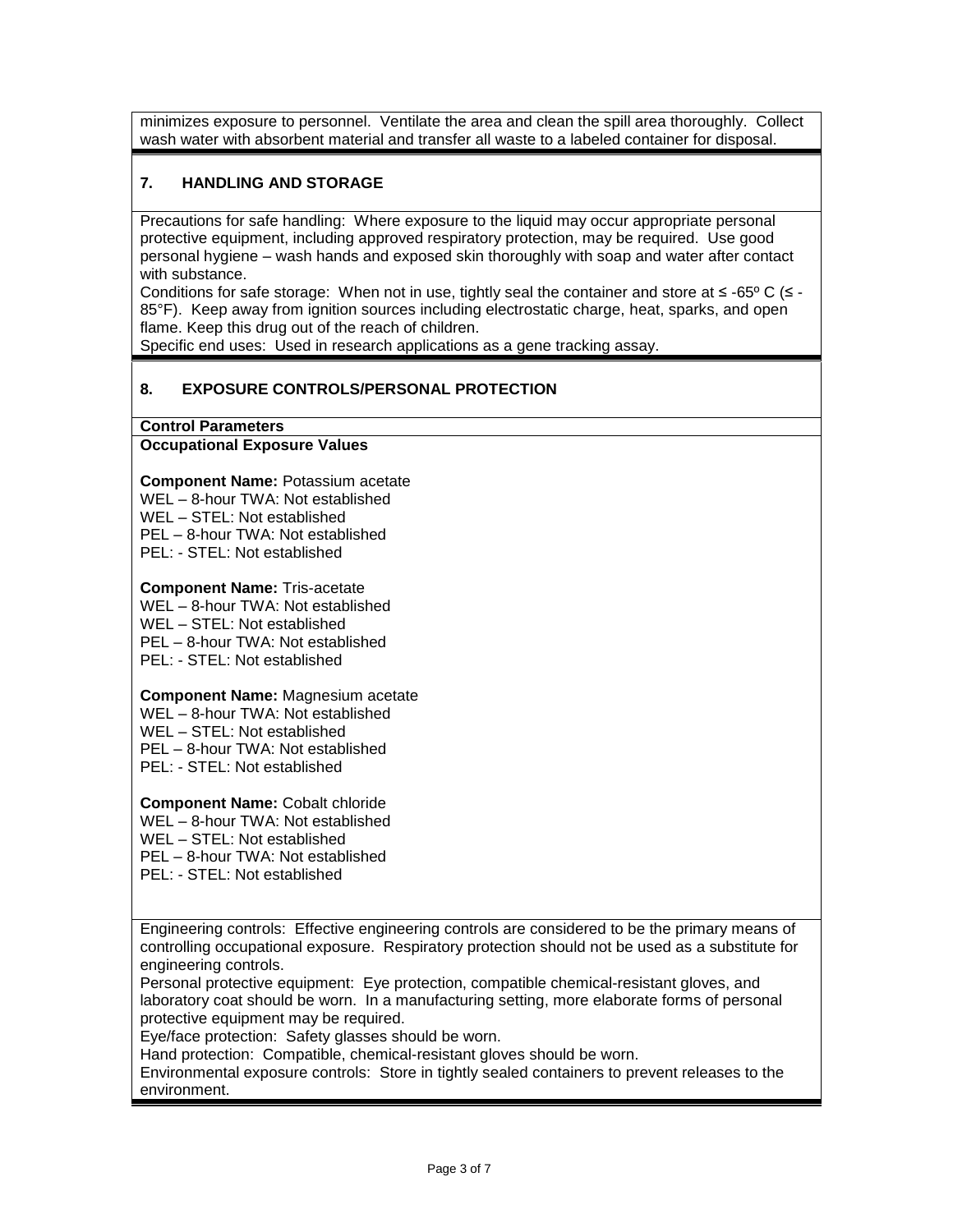minimizes exposure to personnel. Ventilate the area and clean the spill area thoroughly. Collect wash water with absorbent material and transfer all waste to a labeled container for disposal.

#### **7. HANDLING AND STORAGE**

Precautions for safe handling: Where exposure to the liquid may occur appropriate personal protective equipment, including approved respiratory protection, may be required. Use good personal hygiene – wash hands and exposed skin thoroughly with soap and water after contact with substance.

Conditions for safe storage: When not in use, tightly seal the container and store at  $\leq$  -65° C ( $\leq$  -85°F). Keep away from ignition sources including electrostatic charge, heat, sparks, and open flame. Keep this drug out of the reach of children.

Specific end uses: Used in research applications as a gene tracking assay.

#### **8. EXPOSURE CONTROLS/PERSONAL PROTECTION**

**Control Parameters**

#### **Occupational Exposure Values**

**Component Name:** Potassium acetate

WEL – 8-hour TWA: Not established

WEL – STEL: Not established

PEL – 8-hour TWA: Not established

PEL: - STEL: Not established

#### **Component Name:** Tris-acetate

WEL – 8-hour TWA: Not established

WEL – STEL: Not established

PEL – 8-hour TWA: Not established

PEL: - STEL: Not established

#### **Component Name:** Magnesium acetate

WEL – 8-hour TWA: Not established

WEL – STEL: Not established

PEL – 8-hour TWA: Not established

PEL: - STEL: Not established

#### **Component Name:** Cobalt chloride

WEL – 8-hour TWA: Not established

WEL – STEL: Not established

PEL – 8-hour TWA: Not established

PEL: - STEL: Not established

Engineering controls: Effective engineering controls are considered to be the primary means of controlling occupational exposure. Respiratory protection should not be used as a substitute for engineering controls.

Personal protective equipment: Eye protection, compatible chemical-resistant gloves, and laboratory coat should be worn. In a manufacturing setting, more elaborate forms of personal protective equipment may be required.

Eye/face protection: Safety glasses should be worn.

Hand protection: Compatible, chemical-resistant gloves should be worn.

Environmental exposure controls: Store in tightly sealed containers to prevent releases to the environment.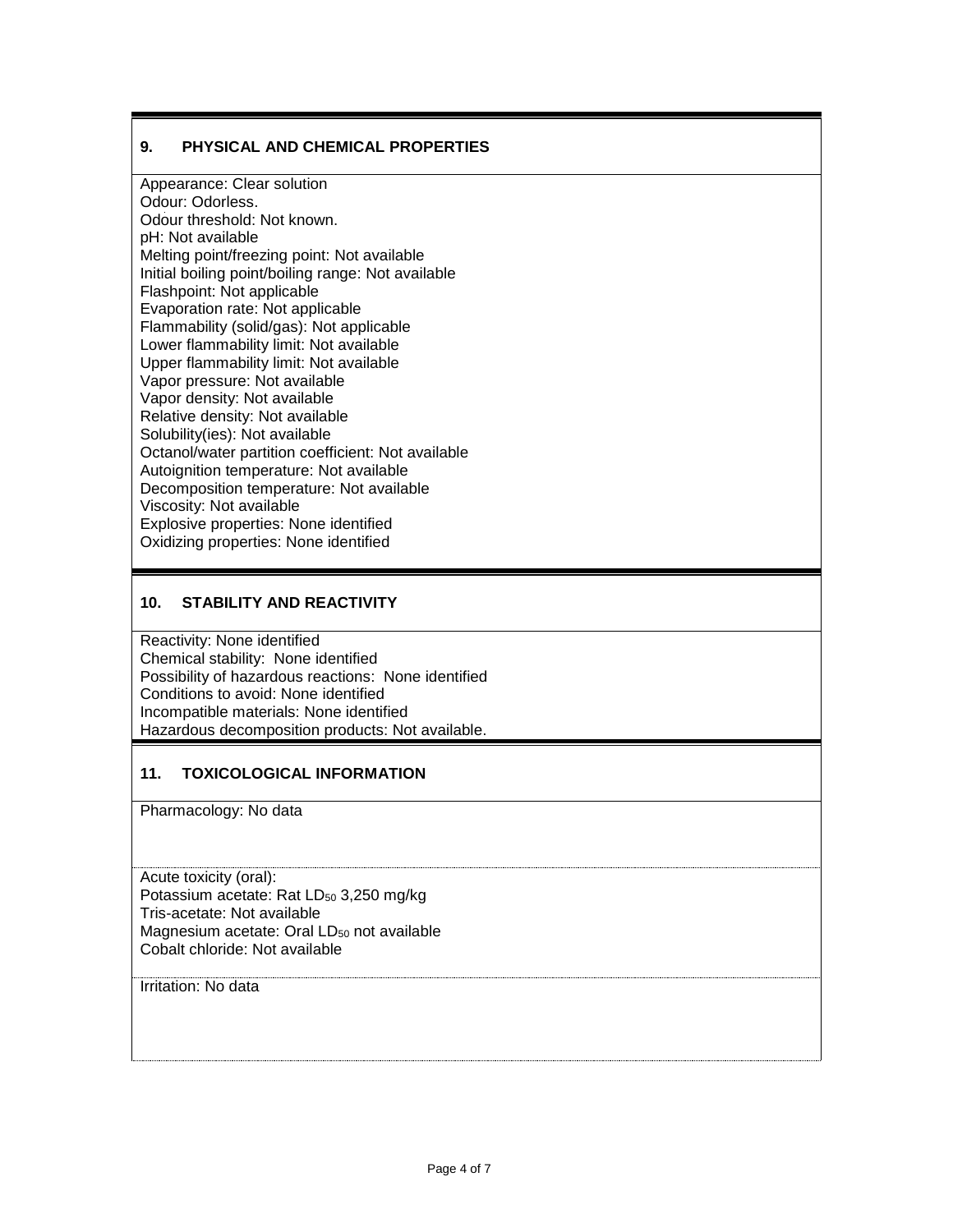#### **9. PHYSICAL AND CHEMICAL PROPERTIES**

Appearance: Clear solution Odour: Odorless. Odour threshold: Not known. pH: Not available Melting point/freezing point: Not available Initial boiling point/boiling range: Not available Flashpoint: Not applicable Evaporation rate: Not applicable Flammability (solid/gas): Not applicable Lower flammability limit: Not available Upper flammability limit: Not available Vapor pressure: Not available Vapor density: Not available Relative density: Not available Solubility(ies): Not available Octanol/water partition coefficient: Not available Autoignition temperature: Not available Decomposition temperature: Not available Viscosity: Not available Explosive properties: None identified Oxidizing properties: None identified

#### **10. STABILITY AND REACTIVITY**

Reactivity: None identified Chemical stability: None identified Possibility of hazardous reactions: None identified Conditions to avoid: None identified Incompatible materials: None identified Hazardous decomposition products: Not available.

#### **11. TOXICOLOGICAL INFORMATION**

Pharmacology: No data

Acute toxicity (oral): Potassium acetate: Rat LD<sub>50</sub> 3,250 mg/kg Tris-acetate: Not available Magnesium acetate: Oral  $LD_{50}$  not available Cobalt chloride: Not available

Irritation: No data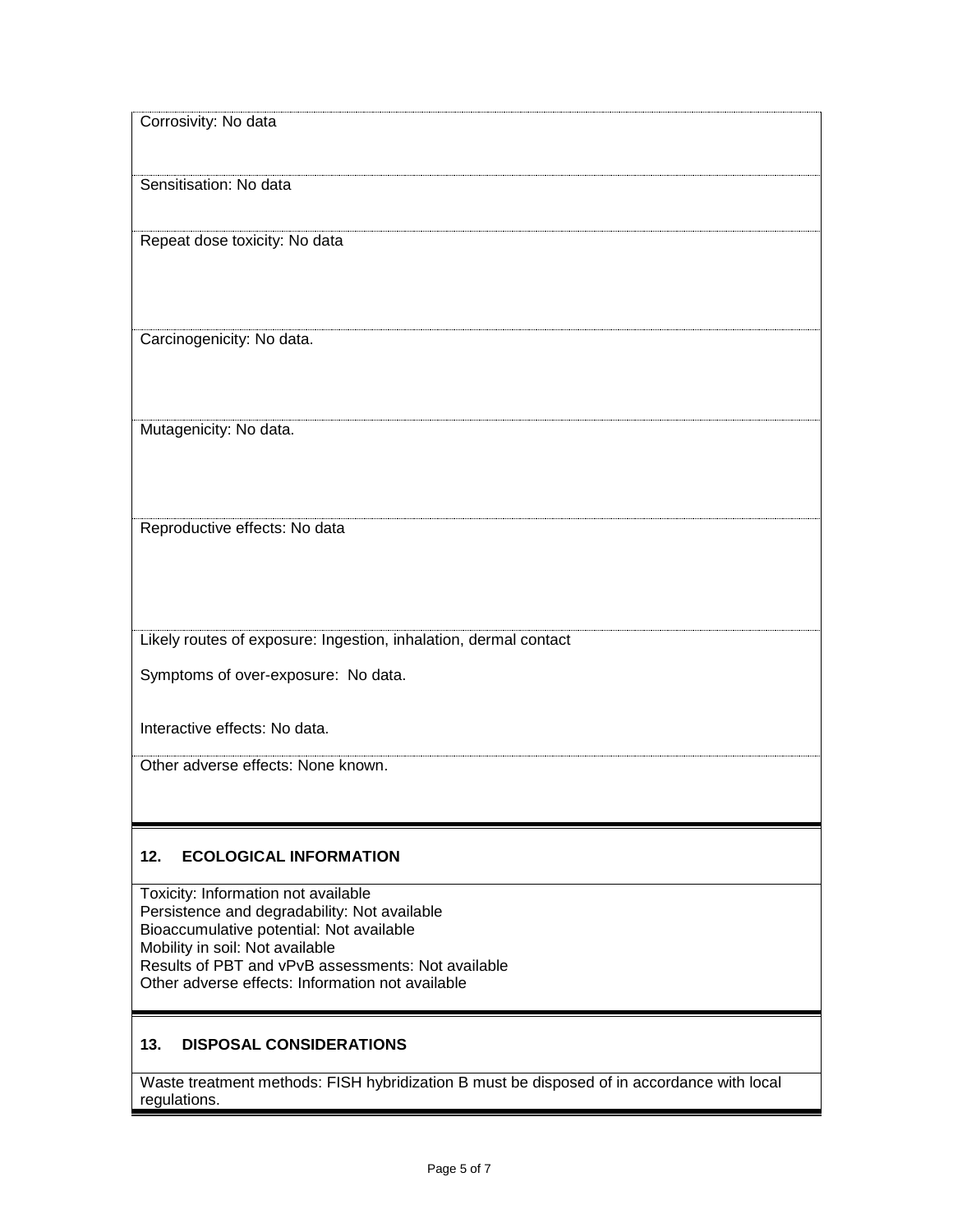| Corrosivity: No data                                                                                                                                                                                                                                                         |
|------------------------------------------------------------------------------------------------------------------------------------------------------------------------------------------------------------------------------------------------------------------------------|
| Sensitisation: No data                                                                                                                                                                                                                                                       |
| Repeat dose toxicity: No data                                                                                                                                                                                                                                                |
| Carcinogenicity: No data.                                                                                                                                                                                                                                                    |
| Mutagenicity: No data.                                                                                                                                                                                                                                                       |
| Reproductive effects: No data                                                                                                                                                                                                                                                |
| Likely routes of exposure: Ingestion, inhalation, dermal contact                                                                                                                                                                                                             |
| Symptoms of over-exposure: No data.                                                                                                                                                                                                                                          |
| Interactive effects: No data.                                                                                                                                                                                                                                                |
| Other adverse effects: None known.                                                                                                                                                                                                                                           |
| 12.<br><b>ECOLOGICAL INFORMATION</b>                                                                                                                                                                                                                                         |
|                                                                                                                                                                                                                                                                              |
| Toxicity: Information not available<br>Persistence and degradability: Not available<br>Bioaccumulative potential: Not available<br>Mobility in soil: Not available<br>Results of PBT and vPvB assessments: Not available<br>Other adverse effects: Information not available |
|                                                                                                                                                                                                                                                                              |

### **13. DISPOSAL CONSIDERATIONS**

Waste treatment methods: FISH hybridization B must be disposed of in accordance with local regulations.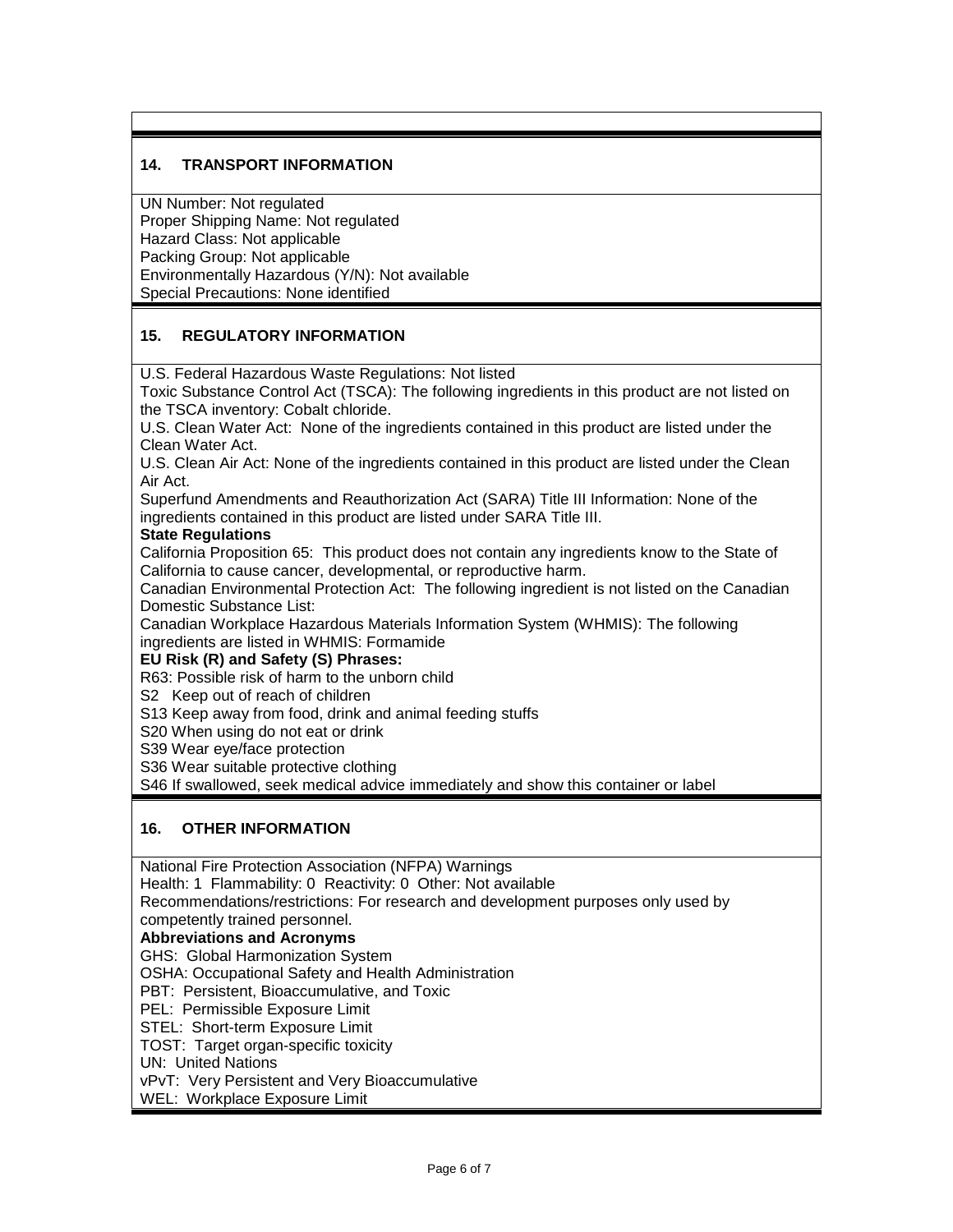#### **14. TRANSPORT INFORMATION**

UN Number: Not regulated Proper Shipping Name: Not regulated Hazard Class: Not applicable Packing Group: Not applicable Environmentally Hazardous (Y/N): Not available Special Precautions: None identified

#### **15. REGULATORY INFORMATION**

U.S. Federal Hazardous Waste Regulations: Not listed

Toxic Substance Control Act (TSCA): The following ingredients in this product are not listed on the TSCA inventory: Cobalt chloride.

U.S. Clean Water Act: None of the ingredients contained in this product are listed under the Clean Water Act.

U.S. Clean Air Act: None of the ingredients contained in this product are listed under the Clean Air Act.

Superfund Amendments and Reauthorization Act (SARA) Title III Information: None of the ingredients contained in this product are listed under SARA Title III.

#### **State Regulations**

California Proposition 65: This product does not contain any ingredients know to the State of California to cause cancer, developmental, or reproductive harm.

Canadian Environmental Protection Act: The following ingredient is not listed on the Canadian Domestic Substance List:

Canadian Workplace Hazardous Materials Information System (WHMIS): The following ingredients are listed in WHMIS: Formamide

#### **EU Risk (R) and Safety (S) Phrases:**

R63: Possible risk of harm to the unborn child

S2 Keep out of reach of children

S13 Keep away from food, drink and animal feeding stuffs

S20 When using do not eat or drink

S39 Wear eye/face protection

S36 Wear suitable protective clothing

S46 If swallowed, seek medical advice immediately and show this container or label

#### **16. OTHER INFORMATION**

National Fire Protection Association (NFPA) Warnings

Health: 1 Flammability: 0 Reactivity: 0 Other: Not available

Recommendations/restrictions: For research and development purposes only used by

competently trained personnel.

**Abbreviations and Acronyms**

GHS: Global Harmonization System

OSHA: Occupational Safety and Health Administration

PBT: Persistent, Bioaccumulative, and Toxic

PEL: Permissible Exposure Limit

STEL: Short-term Exposure Limit

TOST: Target organ-specific toxicity

#### UN: United Nations

vPvT: Very Persistent and Very Bioaccumulative

WEL: Workplace Exposure Limit